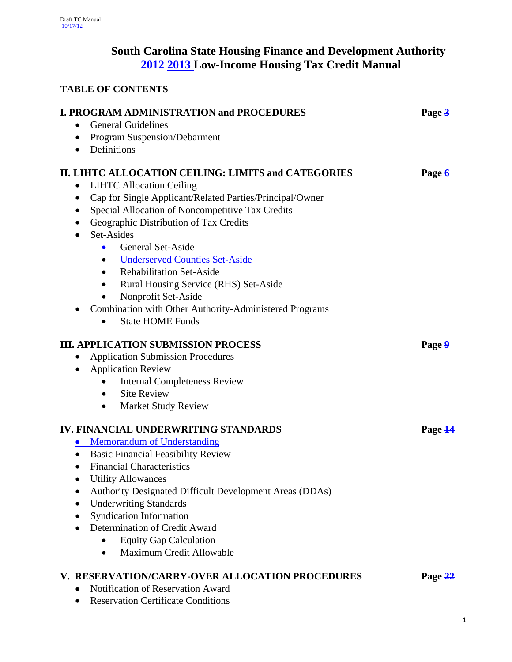$\overline{\phantom{a}}$ 

 $\overline{\phantom{a}}$ 

# **South Carolina State Housing Finance and Development Authority 2012 2013 Low-Income Housing Tax Credit Manual**

# **TABLE OF CONTENTS**

| I. PROGRAM ADMINISTRATION and PROCEDURES<br><b>General Guidelines</b><br>$\bullet$                                                                                                                                                                                                                                                                                                                                                                                                                                                                                                                             | Page 3  |
|----------------------------------------------------------------------------------------------------------------------------------------------------------------------------------------------------------------------------------------------------------------------------------------------------------------------------------------------------------------------------------------------------------------------------------------------------------------------------------------------------------------------------------------------------------------------------------------------------------------|---------|
| <b>Program Suspension/Debarment</b><br>$\bullet$                                                                                                                                                                                                                                                                                                                                                                                                                                                                                                                                                               |         |
| Definitions<br>$\bullet$                                                                                                                                                                                                                                                                                                                                                                                                                                                                                                                                                                                       |         |
| II. LIHTC ALLOCATION CEILING: LIMITS and CATEGORIES<br><b>LIHTC Allocation Ceiling</b><br>$\bullet$<br>Cap for Single Applicant/Related Parties/Principal/Owner<br>$\bullet$<br>Special Allocation of Noncompetitive Tax Credits<br>$\bullet$<br>Geographic Distribution of Tax Credits<br>٠<br>Set-Asides<br>$\bullet$<br><b>General Set-Aside</b><br><b>Underserved Counties Set-Aside</b><br><b>Rehabilitation Set-Aside</b><br>$\bullet$<br>Rural Housing Service (RHS) Set-Aside<br>$\bullet$<br>Nonprofit Set-Aside<br>Combination with Other Authority-Administered Programs<br><b>State HOME Funds</b> | Page 6  |
| <b>III. APPLICATION SUBMISSION PROCESS</b><br><b>Application Submission Procedures</b><br>٠<br><b>Application Review</b><br>$\bullet$<br><b>Internal Completeness Review</b><br><b>Site Review</b><br><b>Market Study Review</b><br>$\bullet$                                                                                                                                                                                                                                                                                                                                                                  | Page 9  |
| <b>IV. FINANCIAL UNDERWRITING STANDARDS</b><br>• Memorandum of Understanding<br><b>Basic Financial Feasibility Review</b><br><b>Financial Characteristics</b><br><b>Utility Allowances</b><br><b>Authority Designated Difficult Development Areas (DDAs)</b><br><b>Underwriting Standards</b><br><b>Syndication Information</b><br>Determination of Credit Award<br><b>Equity Gap Calculation</b><br>Maximum Credit Allowable<br>$\bullet$                                                                                                                                                                     | Page 14 |
| V. RESERVATION/CARRY-OVER ALLOCATION PROCEDURES<br>Notification of Reservation Award                                                                                                                                                                                                                                                                                                                                                                                                                                                                                                                           | Page 22 |

• Reservation Certificate Conditions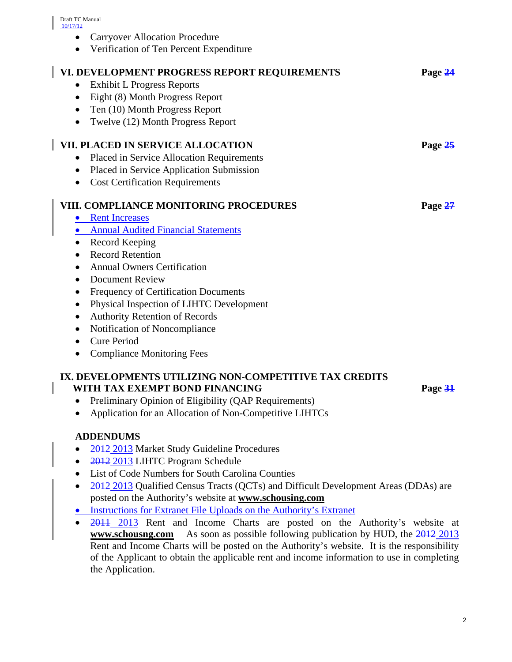- Carryover Allocation Procedure
- Verification of Ten Percent Expenditure

| VI. DEVELOPMENT PROGRESS REPORT REQUIREMENTS               | Page 24 |
|------------------------------------------------------------|---------|
| <b>Exhibit L Progress Reports</b><br>$\bullet$             |         |
| Eight (8) Month Progress Report<br>$\bullet$               |         |
| Ten (10) Month Progress Report<br>$\bullet$                |         |
| Twelve (12) Month Progress Report<br>$\bullet$             |         |
| <b>VII. PLACED IN SERVICE ALLOCATION</b>                   | Page 25 |
| Placed in Service Allocation Requirements<br>$\bullet$     |         |
| Placed in Service Application Submission<br>$\bullet$      |         |
| <b>Cost Certification Requirements</b><br>$\bullet$        |         |
|                                                            |         |
| VIII. COMPLIANCE MONITORING PROCEDURES                     | Page 27 |
| <b>Rent Increases</b><br>$\bullet$                         |         |
| <b>Annual Audited Financial Statements</b>                 |         |
| Record Keeping                                             |         |
| <b>Record Retention</b><br>$\bullet$                       |         |
| <b>Annual Owners Certification</b><br>$\bullet$            |         |
| <b>Document Review</b><br>$\bullet$                        |         |
| Frequency of Certification Documents                       |         |
| Physical Inspection of LIHTC Development<br>$\bullet$      |         |
| Authority Retention of Records<br>٠                        |         |
| Notification of Noncompliance<br>$\bullet$                 |         |
| <b>Cure Period</b><br>$\bullet$                            |         |
| <b>Compliance Monitoring Fees</b><br>$\bullet$             |         |
|                                                            |         |
| IV. DEVEL ODLENIEG UTILI IZING NON COMPETITIVE TAV ODEDITO |         |

# **IX. DEVELOPMENTS UTILIZING NON-COMPETITIVE TAX CREDITS WITH TAX EXEMPT BOND FINANCING Page 31**

- Preliminary Opinion of Eligibility (QAP Requirements)
- Application for an Allocation of Non-Competitive LIHTCs

# **ADDENDUMS**

- 2012 2013 Market Study Guideline Procedures
- 2012 2013 LIHTC Program Schedule
- List of Code Numbers for South Carolina Counties
- 2012 2013 Qualified Census Tracts (QCTs) and Difficult Development Areas (DDAs) are posted on the Authority's website at **[www.schousing.com](http://www.schousing.com/)**
- Instructions for Extranet File Uploads on the Authority's Extranet
- 2011 2013 Rent and Income Charts are posted on the Authority's website at **[www.schousng.com](http://www.schousng.com/)** As soon as possible following publication by HUD, the 2012 2013 Rent and Income Charts will be posted on the Authority's website. It is the responsibility of the Applicant to obtain the applicable rent and income information to use in completing the Application.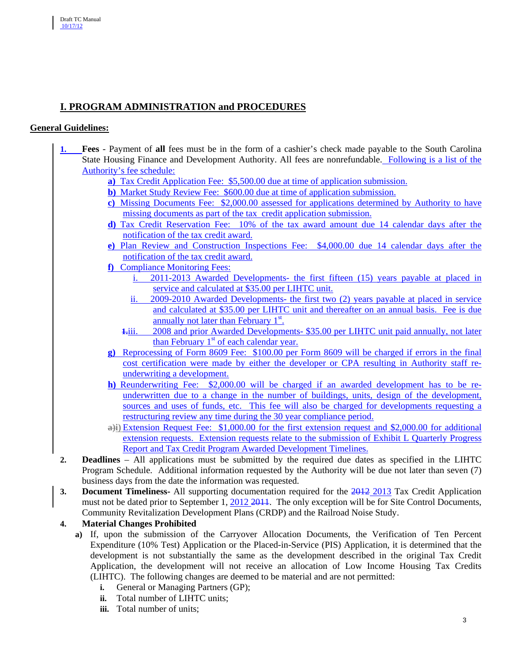# **I. PROGRAM ADMINISTRATION and PROCEDURES**

### **General Guidelines:**

- **1. Fees** Payment of **all** fees must be in the form of a cashier's check made payable to the South Carolina State Housing Finance and Development Authority. All fees are nonrefundable. Following is a list of the Authority's fee schedule:
	- **a)** Tax Credit Application Fee: \$5,500.00 due at time of application submission.
	- **b)** Market Study Review Fee: \$600.00 due at time of application submission.
	- **c)** Missing Documents Fee: \$2,000.00 assessed for applications determined by Authority to have missing documents as part of the tax credit application submission.
	- **d)** Tax Credit Reservation Fee: 10% of the tax award amount due 14 calendar days after the notification of the tax credit award.
	- **e)** Plan Review and Construction Inspections Fee: \$4,000.00 due 14 calendar days after the notification of the tax credit award.
	- **f)** Compliance Monitoring Fees:
		- i. 2011-2013 Awarded Developments- the first fifteen (15) years payable at placed in service and calculated at \$35.00 per LIHTC unit.
		- ii. 2009-2010 Awarded Developments- the first two (2) years payable at placed in service and calculated at \$35.00 per LIHTC unit and thereafter on an annual basis. Fee is due annually not later than February 1<sup>st</sup>.
		- **1.**iii. 2008 and prior Awarded Developments- \$35.00 per LIHTC unit paid annually, not later than February  $1<sup>st</sup>$  of each calendar year.
	- **g)** Reprocessing of Form 8609 Fee: \$100.00 per Form 8609 will be charged if errors in the final cost certification were made by either the developer or CPA resulting in Authority staff reunderwriting a development.
	- **h)** Reunderwriting Fee: \$2,000.00 will be charged if an awarded development has to be reunderwritten due to a change in the number of buildings, units, design of the development, sources and uses of funds, etc. This fee will also be charged for developments requesting a restructuring review any time during the 30 year compliance period.
	- **a)i)** Extension Request Fee: \$1,000.00 for the first extension request and \$2,000.00 for additional extension requests. Extension requests relate to the submission of Exhibit L Quarterly Progress Report and Tax Credit Program Awarded Development Timelines.
- **2. Deadlines** All applications must be submitted by the required due dates as specified in the LIHTC Program Schedule. Additional information requested by the Authority will be due not later than seven (7) business days from the date the information was requested.
- **3. Document Timeliness-** All supporting documentation required for the 2012 2013 Tax Credit Application must not be dated prior to September 1, 2012 2014. The only exception will be for Site Control Documents, Community Revitalization Development Plans (CRDP) and the Railroad Noise Study.

# **4. Material Changes Prohibited**

- **a)** If, upon the submission of the Carryover Allocation Documents, the Verification of Ten Percent Expenditure (10% Test) Application or the Placed-in-Service (PIS) Application, it is determined that the development is not substantially the same as the development described in the original Tax Credit Application, the development will not receive an allocation of Low Income Housing Tax Credits (LIHTC). The following changes are deemed to be material and are not permitted:
	- **i.** General or Managing Partners (GP);
	- **ii.** Total number of LIHTC units;
	- **iii.** Total number of units;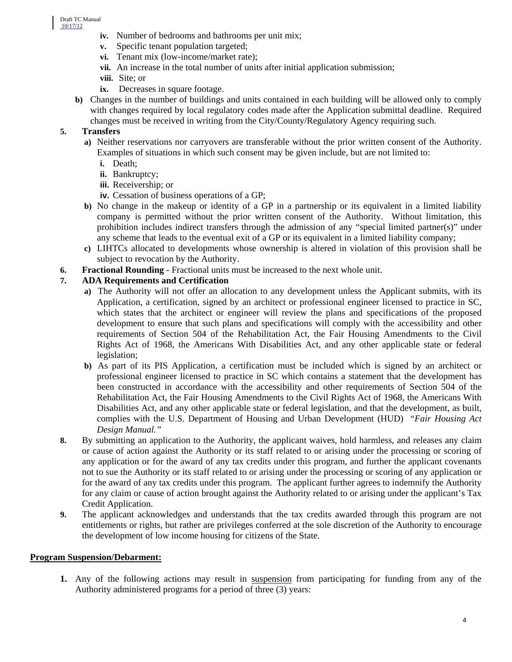- **iv.** Number of bedrooms and bathrooms per unit mix;
- **v.** Specific tenant population targeted;
- **vi.** Tenant mix (low-income/market rate);
- **vii.** An increase in the total number of units after initial application submission;
- **viii.** Site; or
- **ix.** Decreases in square footage.
- **b)** Changes in the number of buildings and units contained in each building will be allowed only to comply with changes required by local regulatory codes made after the Application submittal deadline. Required changes must be received in writing from the City/County/Regulatory Agency requiring such.

### **5. Transfers**

- **a)** Neither reservations nor carryovers are transferable without the prior written consent of the Authority. Examples of situations in which such consent may be given include, but are not limited to:
	- **i.** Death;
	- **ii.** Bankruptcy;
	- **iii.** Receivership; or
	- **iv.** Cessation of business operations of a GP;
- **b)** No change in the makeup or identity of a GP in a partnership or its equivalent in a limited liability company is permitted without the prior written consent of the Authority. Without limitation, this prohibition includes indirect transfers through the admission of any "special limited partner(s)" under any scheme that leads to the eventual exit of a GP or its equivalent in a limited liability company;
- **c)** LIHTCs allocated to developments whose ownership is altered in violation of this provision shall be subject to revocation by the Authority.
- **6. Fractional Rounding** Fractional units must be increased to the next whole unit.

# **7. ADA Requirements and Certification**

- **a)** The Authority will not offer an allocation to any development unless the Applicant submits, with its Application, a certification, signed by an architect or professional engineer licensed to practice in SC, which states that the architect or engineer will review the plans and specifications of the proposed development to ensure that such plans and specifications will comply with the accessibility and other requirements of Section 504 of the Rehabilitation Act, the Fair Housing Amendments to the Civil Rights Act of 1968, the Americans With Disabilities Act, and any other applicable state or federal legislation;
- **b)** As part of its PIS Application, a certification must be included which is signed by an architect or professional engineer licensed to practice in SC which contains a statement that the development has been constructed in accordance with the accessibility and other requirements of Section 504 of the Rehabilitation Act, the Fair Housing Amendments to the Civil Rights Act of 1968, the Americans With Disabilities Act, and any other applicable state or federal legislation, and that the development, as built, complies with the U.S. Department of Housing and Urban Development (HUD) "*Fair Housing Act Design Manual."*
- **8.** By submitting an application to the Authority, the applicant waives, hold harmless, and releases any claim or cause of action against the Authority or its staff related to or arising under the processing or scoring of any application or for the award of any tax credits under this program, and further the applicant covenants not to sue the Authority or its staff related to or arising under the processing or scoring of any application or for the award of any tax credits under this program. The applicant further agrees to indemnify the Authority for any claim or cause of action brought against the Authority related to or arising under the applicant's Tax Credit Application.
- **9.** The applicant acknowledges and understands that the tax credits awarded through this program are not entitlements or rights, but rather are privileges conferred at the sole discretion of the Authority to encourage the development of low income housing for citizens of the State.

#### **Program Suspension/Debarment:**

**1.** Any of the following actions may result in suspension from participating for funding from any of the Authority administered programs for a period of three (3) years: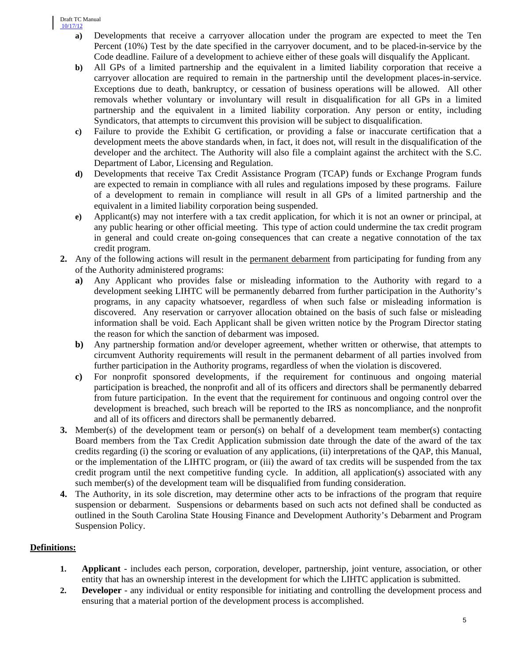- **a)** Developments that receive a carryover allocation under the program are expected to meet the Ten Percent (10%) Test by the date specified in the carryover document, and to be placed-in-service by the Code deadline. Failure of a development to achieve either of these goals will disqualify the Applicant.
- **b)** All GPs of a limited partnership and the equivalent in a limited liability corporation that receive a carryover allocation are required to remain in the partnership until the development places-in-service. Exceptions due to death, bankruptcy, or cessation of business operations will be allowed. All other removals whether voluntary or involuntary will result in disqualification for all GPs in a limited partnership and the equivalent in a limited liability corporation. Any person or entity, including Syndicators, that attempts to circumvent this provision will be subject to disqualification.
- **c)** Failure to provide the Exhibit G certification, or providing a false or inaccurate certification that a development meets the above standards when, in fact, it does not, will result in the disqualification of the developer and the architect. The Authority will also file a complaint against the architect with the S.C. Department of Labor, Licensing and Regulation.
- **d)** Developments that receive Tax Credit Assistance Program (TCAP) funds or Exchange Program funds are expected to remain in compliance with all rules and regulations imposed by these programs. Failure of a development to remain in compliance will result in all GPs of a limited partnership and the equivalent in a limited liability corporation being suspended.
- **e)** Applicant(s) may not interfere with a tax credit application, for which it is not an owner or principal, at any public hearing or other official meeting. This type of action could undermine the tax credit program in general and could create on-going consequences that can create a negative connotation of the tax credit program.
- **2.** Any of the following actions will result in the permanent debarment from participating for funding from any of the Authority administered programs:
	- **a)** Any Applicant who provides false or misleading information to the Authority with regard to a development seeking LIHTC will be permanently debarred from further participation in the Authority's programs, in any capacity whatsoever, regardless of when such false or misleading information is discovered. Any reservation or carryover allocation obtained on the basis of such false or misleading information shall be void. Each Applicant shall be given written notice by the Program Director stating the reason for which the sanction of debarment was imposed.
	- **b)** Any partnership formation and/or developer agreement, whether written or otherwise, that attempts to circumvent Authority requirements will result in the permanent debarment of all parties involved from further participation in the Authority programs, regardless of when the violation is discovered.
	- **c)** For nonprofit sponsored developments, if the requirement for continuous and ongoing material participation is breached, the nonprofit and all of its officers and directors shall be permanently debarred from future participation. In the event that the requirement for continuous and ongoing control over the development is breached, such breach will be reported to the IRS as noncompliance, and the nonprofit and all of its officers and directors shall be permanently debarred.
- **3.** Member(s) of the development team or person(s) on behalf of a development team member(s) contacting Board members from the Tax Credit Application submission date through the date of the award of the tax credits regarding (i) the scoring or evaluation of any applications, (ii) interpretations of the QAP, this Manual, or the implementation of the LIHTC program, or (iii) the award of tax credits will be suspended from the tax credit program until the next competitive funding cycle. In addition, all application(s) associated with any such member(s) of the development team will be disqualified from funding consideration.
- **4.** The Authority, in its sole discretion, may determine other acts to be infractions of the program that require suspension or debarment. Suspensions or debarments based on such acts not defined shall be conducted as outlined in the South Carolina State Housing Finance and Development Authority's Debarment and Program Suspension Policy.

# **Definitions:**

- **1. Applicant** includes each person, corporation, developer, partnership, joint venture, association, or other entity that has an ownership interest in the development for which the LIHTC application is submitted.
- **2. Developer** any individual or entity responsible for initiating and controlling the development process and ensuring that a material portion of the development process is accomplished.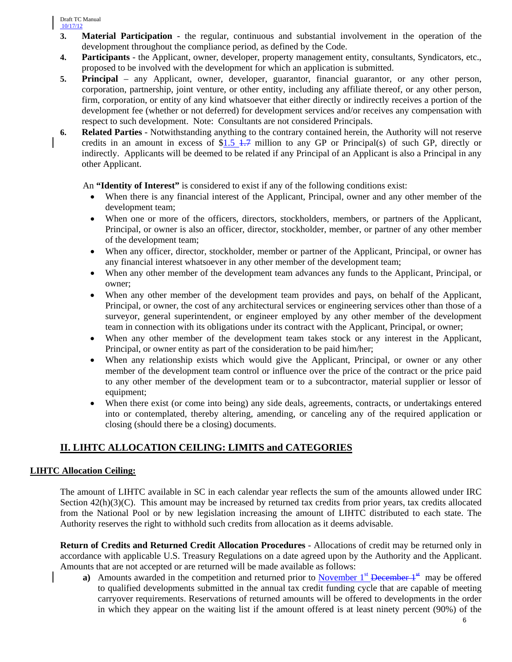- **3. Material Participation**  the regular, continuous and substantial involvement in the operation of the development throughout the compliance period, as defined by the Code.
- **4. Participants** the Applicant, owner, developer, property management entity, consultants, Syndicators, etc., proposed to be involved with the development for which an application is submitted.
- **5. Principal** any Applicant, owner, developer, guarantor, financial guarantor, or any other person, corporation, partnership, joint venture, or other entity, including any affiliate thereof, or any other person, firm, corporation, or entity of any kind whatsoever that either directly or indirectly receives a portion of the development fee (whether or not deferred) for development services and/or receives any compensation with respect to such development. Note: Consultants are not considered Principals.
- **6. Related Parties** Notwithstanding anything to the contrary contained herein, the Authority will not reserve credits in an amount in excess of  $$1.5$   $$1.7$  million to any GP or Principal(s) of such GP, directly or indirectly. Applicants will be deemed to be related if any Principal of an Applicant is also a Principal in any other Applicant.

An **"Identity of Interest"** is considered to exist if any of the following conditions exist:

- When there is any financial interest of the Applicant, Principal, owner and any other member of the development team;
- When one or more of the officers, directors, stockholders, members, or partners of the Applicant, Principal, or owner is also an officer, director, stockholder, member, or partner of any other member of the development team;
- When any officer, director, stockholder, member or partner of the Applicant, Principal, or owner has any financial interest whatsoever in any other member of the development team;
- When any other member of the development team advances any funds to the Applicant, Principal, or owner;
- When any other member of the development team provides and pays, on behalf of the Applicant, Principal, or owner, the cost of any architectural services or engineering services other than those of a surveyor, general superintendent, or engineer employed by any other member of the development team in connection with its obligations under its contract with the Applicant, Principal, or owner;
- When any other member of the development team takes stock or any interest in the Applicant, Principal, or owner entity as part of the consideration to be paid him/her;
- When any relationship exists which would give the Applicant, Principal, or owner or any other member of the development team control or influence over the price of the contract or the price paid to any other member of the development team or to a subcontractor, material supplier or lessor of equipment;
- When there exist (or come into being) any side deals, agreements, contracts, or undertakings entered into or contemplated, thereby altering, amending, or canceling any of the required application or closing (should there be a closing) documents.

# **II. LIHTC ALLOCATION CEILING: LIMITS and CATEGORIES**

# **LIHTC Allocation Ceiling:**

The amount of LIHTC available in SC in each calendar year reflects the sum of the amounts allowed under IRC Section  $42(h)(3)(C)$ . This amount may be increased by returned tax credits from prior years, tax credits allocated from the National Pool or by new legislation increasing the amount of LIHTC distributed to each state. The Authority reserves the right to withhold such credits from allocation as it deems advisable.

**Return of Credits and Returned Credit Allocation Procedures** - Allocations of credit may be returned only in accordance with applicable U.S. Treasury Regulations on a date agreed upon by the Authority and the Applicant. Amounts that are not accepted or are returned will be made available as follows:

**a**) Amounts awarded in the competition and returned prior to November 1<sup>st</sup> December 1<sup>st</sup> may be offered to qualified developments submitted in the annual tax credit funding cycle that are capable of meeting carryover requirements. Reservations of returned amounts will be offered to developments in the order in which they appear on the waiting list if the amount offered is at least ninety percent (90%) of the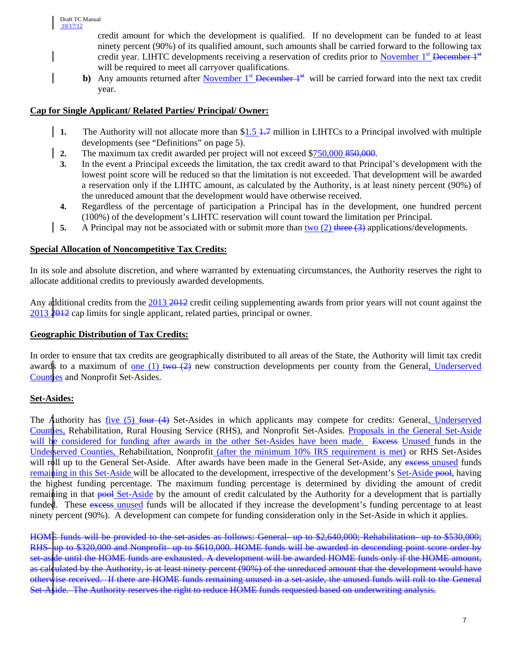credit amount for which the development is qualified. If no development can be funded to at least ninety percent (90%) of its qualified amount, such amounts shall be carried forward to the following tax credit year. LIHTC developments receiving a reservation of credits prior to November  $1<sup>st</sup>$  December  $1<sup>st</sup>$ will be required to meet all carryover qualifications.

**b)** Any amounts returned after November  $1<sup>st</sup>$  December  $1<sup>st</sup>$  will be carried forward into the next tax credit year.

# **Cap for Single Applicant/ Related Parties/ Principal/ Owner:**

- **1.** The Authority will not allocate more than \$1.5 <del>1.7</del> million in LIHTCs to a Principal involved with multiple developments (see "Definitions" on page 5).
- **2.** The maximum tax credit awarded per project will not exceed \$750,000 850,000.
- **3.** In the event a Principal exceeds the limitation, the tax credit award to that Principal's development with the lowest point score will be reduced so that the limitation is not exceeded. That development will be awarded a reservation only if the LIHTC amount, as calculated by the Authority, is at least ninety percent (90%) of the unreduced amount that the development would have otherwise received.
- **4.** Regardless of the percentage of participation a Principal has in the development, one hundred percent (100%) of the development's LIHTC reservation will count toward the limitation per Principal.
- **5.** A Principal may not be associated with or submit more than two (2) three (3) applications/developments.

### **Special Allocation of Noncompetitive Tax Credits:**

In its sole and absolute discretion, and where warranted by extenuating circumstances, the Authority reserves the right to allocate additional credits to previously awarded developments.

Any additional credits from the 2013 2012 credit ceiling supplementing awards from prior years will not count against the 2013 2012 cap limits for single applicant, related parties, principal or owner.

#### **Geographic Distribution of Tax Credits:**

In order to ensure that tax credits are geographically distributed to all areas of the State, the Authority will limit tax credit awards to a maximum of <u>one (1) two (2)</u> new construction developments per county from the General, Underserved Counties and Nonprofit Set-Asides.

#### **Set-Asides:**

The Authority has five (5) four (4) Set-Asides in which applicants may compete for credits: General, Underserved Counties, Rehabilitation, Rural Housing Service (RHS), and Nonprofit Set-Asides. Proposals in the General Set-Aside will be considered for funding after awards in the other Set-Asides have been made. Excess Unused funds in the Underserved Counties, Rehabilitation, Nonprofit (after the minimum 10% IRS requirement is met) or RHS Set-Asides will roll up to the General Set-Aside. After awards have been made in the General Set-Aside, any excess unused funds remaining in this Set-Aside will be allocated to the development, irrespective of the development's Set-Aside pool, having the highest funding percentage. The maximum funding percentage is determined by dividing the amount of credit remaining in that pool Set-Aside by the amount of credit calculated by the Authority for a development that is partially funded. These excess unused funds will be allocated if they increase the development's funding percentage to at least ninety percent (90%). A development can compete for funding consideration only in the Set-Aside in which it applies.

HOME funds will be provided to the set-asides as follows: General- up to \$2,640,000; Rehabilitation- up to \$530,000; RHS- up to \$320,000 and Nonprofit- up to \$610,000. HOME funds will be awarded in descending point score order by set-aside until the HOME funds are exhausted. A development will be awarded HOME funds only if the HOME amount, as calculated by the Authority, is at least ninety percent (90%) of the unreduced amount that the development would have otherwise received. If there are HOME funds remaining unused in a set-aside, the unused funds will roll to the General Set-Aside. The Authority reserves the right to reduce HOME funds requested based on underwriting analysis.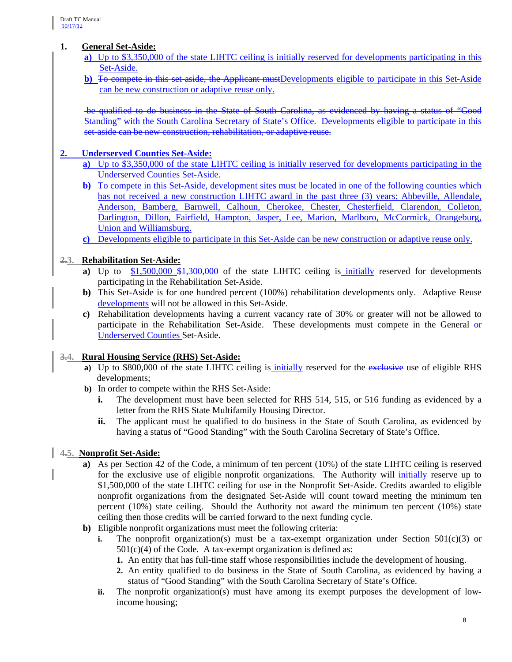# **1. General Set-Aside:**

- **a)** Up to \$3,350,000 of the state LIHTC ceiling is initially reserved for developments participating in this Set-Aside.
- **b)** To compete in this set-aside, the Applicant mustDevelopments eligible to participate in this Set-Aside can be new construction or adaptive reuse only.

be qualified to do business in the State of South Carolina, as evidenced by having a status of "Good Standing" with the South Carolina Secretary of State's Office. Developments eligible to participate in this set-aside can be new construction, rehabilitation, or adaptive reuse.

### **2. Underserved Counties Set-Aside:**

- **a)** Up to \$3,350,000 of the state LIHTC ceiling is initially reserved for developments participating in the Underserved Counties Set-Aside.
- **b**) To compete in this Set-Aside, development sites must be located in one of the following counties which has not received a new construction LIHTC award in the past three (3) years: Abbeville, Allendale, Anderson, Bamberg, Barnwell, Calhoun, Cherokee, Chester, Chesterfield, Clarendon, Colleton, Darlington, Dillon, Fairfield, Hampton, Jasper, Lee, Marion, Marlboro, McCormick, Orangeburg, Union and Williamsburg.
- **c)** Developments eligible to participate in this Set-Aside can be new construction or adaptive reuse only.

# **2.3. Rehabilitation Set-Aside:**

- **a**) Up to \$1,500,000 \$1,300,000 of the state LIHTC ceiling is *initially* reserved for developments participating in the Rehabilitation Set-Aside.
- **b)** This Set-Aside is for one hundred percent (100%) rehabilitation developments only. Adaptive Reuse developments will not be allowed in this Set-Aside.
- **c)** Rehabilitation developments having a current vacancy rate of 30% or greater will not be allowed to participate in the Rehabilitation Set-Aside. These developments must compete in the General or Underserved Counties Set-Aside.

# **3.4. Rural Housing Service (RHS) Set-Aside:**

- **a)** Up to \$800,000 of the state LIHTC ceiling is initially reserved for the exclusive use of eligible RHS developments;
- **b)** In order to compete within the RHS Set-Aside:
	- **i.** The development must have been selected for RHS 514, 515, or 516 funding as evidenced by a letter from the RHS State Multifamily Housing Director.
	- **ii.** The applicant must be qualified to do business in the State of South Carolina, as evidenced by having a status of "Good Standing" with the South Carolina Secretary of State's Office.

# **4.5. Nonprofit Set-Aside:**

- **a)** As per Section 42 of the Code, a minimum of ten percent (10%) of the state LIHTC ceiling is reserved for the exclusive use of eligible nonprofit organizations. The Authority will initially reserve up to \$1,500,000 of the state LIHTC ceiling for use in the Nonprofit Set-Aside. Credits awarded to eligible nonprofit organizations from the designated Set-Aside will count toward meeting the minimum ten percent (10%) state ceiling. Should the Authority not award the minimum ten percent (10%) state ceiling then those credits will be carried forward to the next funding cycle.
- **b)** Eligible nonprofit organizations must meet the following criteria:
	- **i.** The nonprofit organization(s) must be a tax-exempt organization under Section  $501(c)(3)$  or  $501(c)(4)$  of the Code. A tax-exempt organization is defined as:
		- **1.** An entity that has full-time staff whose responsibilities include the development of housing.
		- **2.** An entity qualified to do business in the State of South Carolina, as evidenced by having a status of "Good Standing" with the South Carolina Secretary of State's Office.
	- **ii.** The nonprofit organization(s) must have among its exempt purposes the development of lowincome housing;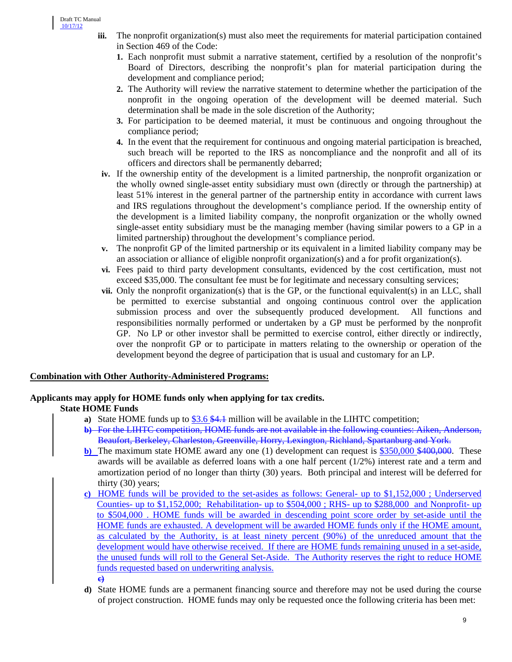- **iii.** The nonprofit organization(s) must also meet the requirements for material participation contained in Section 469 of the Code:
	- **1.** Each nonprofit must submit a narrative statement, certified by a resolution of the nonprofit's Board of Directors, describing the nonprofit's plan for material participation during the development and compliance period;
	- **2.** The Authority will review the narrative statement to determine whether the participation of the nonprofit in the ongoing operation of the development will be deemed material. Such determination shall be made in the sole discretion of the Authority;
	- **3.** For participation to be deemed material, it must be continuous and ongoing throughout the compliance period;
	- **4.** In the event that the requirement for continuous and ongoing material participation is breached, such breach will be reported to the IRS as noncompliance and the nonprofit and all of its officers and directors shall be permanently debarred;
- **iv.** If the ownership entity of the development is a limited partnership, the nonprofit organization or the wholly owned single-asset entity subsidiary must own (directly or through the partnership) at least 51% interest in the general partner of the partnership entity in accordance with current laws and IRS regulations throughout the development's compliance period. If the ownership entity of the development is a limited liability company, the nonprofit organization or the wholly owned single-asset entity subsidiary must be the managing member (having similar powers to a GP in a limited partnership) throughout the development's compliance period.
- **v.** The nonprofit GP of the limited partnership or its equivalent in a limited liability company may be an association or alliance of eligible nonprofit organization(s) and a for profit organization(s).
- **vi.** Fees paid to third party development consultants, evidenced by the cost certification, must not exceed \$35,000. The consultant fee must be for legitimate and necessary consulting services;
- **vii.** Only the nonprofit organization(s) that is the GP, or the functional equivalent(s) in an LLC, shall be permitted to exercise substantial and ongoing continuous control over the application submission process and over the subsequently produced development. All functions and responsibilities normally performed or undertaken by a GP must be performed by the nonprofit GP. No LP or other investor shall be permitted to exercise control, either directly or indirectly, over the nonprofit GP or to participate in matters relating to the ownership or operation of the development beyond the degree of participation that is usual and customary for an LP.

# **Combination with Other Authority-Administered Programs:**

# **Applicants may apply for HOME funds only when applying for tax credits.**

# **State HOME Funds**

- **a)** State HOME funds up to \$3.6 \$4.1 million will be available in the LIHTC competition;
- **b)** For the LIHTC competition, HOME funds are not available in the following counties: Aiken, Anderson, Beaufort, Berkeley, Charleston, Greenville, Horry, Lexington, Richland, Spartanburg and York.
- **b**) The maximum state HOME award any one (1) development can request is \$350,000 \$400,000. These awards will be available as deferred loans with a one half percent  $(1/2%)$  interest rate and a term and amortization period of no longer than thirty (30) years. Both principal and interest will be deferred for thirty (30) years;
- **c)** HOME funds will be provided to the set-asides as follows: General- up to \$1,152,000 ; Underserved Counties- up to \$1,152,000; Rehabilitation- up to \$504,000 ; RHS- up to \$288,000 and Nonprofit- up to \$504,000 . HOME funds will be awarded in descending point score order by set-aside until the HOME funds are exhausted. A development will be awarded HOME funds only if the HOME amount, as calculated by the Authority, is at least ninety percent (90%) of the unreduced amount that the development would have otherwise received. If there are HOME funds remaining unused in a set-aside, the unused funds will roll to the General Set-Aside. The Authority reserves the right to reduce HOME funds requested based on underwriting analysis. **c)**
- **d)** State HOME funds are a permanent financing source and therefore may not be used during the course of project construction. HOME funds may only be requested once the following criteria has been met: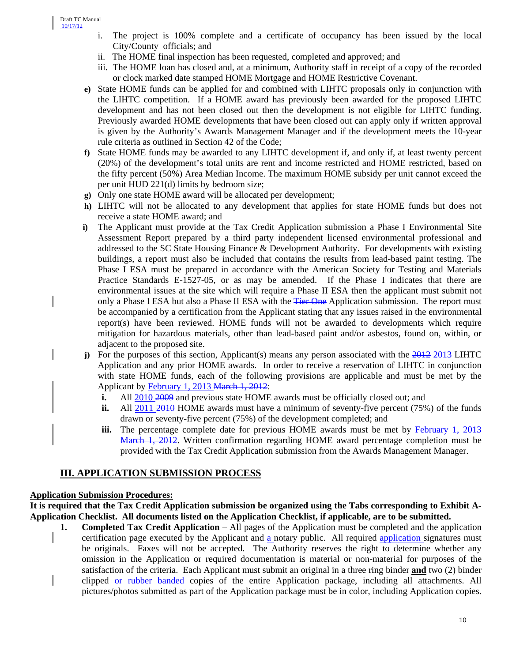- i. The project is 100% complete and a certificate of occupancy has been issued by the local City/County officials; and
- ii. The HOME final inspection has been requested, completed and approved; and
- iii. The HOME loan has closed and, at a minimum, Authority staff in receipt of a copy of the recorded or clock marked date stamped HOME Mortgage and HOME Restrictive Covenant.
- **e)** State HOME funds can be applied for and combined with LIHTC proposals only in conjunction with the LIHTC competition. If a HOME award has previously been awarded for the proposed LIHTC development and has not been closed out then the development is not eligible for LIHTC funding. Previously awarded HOME developments that have been closed out can apply only if written approval is given by the Authority's Awards Management Manager and if the development meets the 10-year rule criteria as outlined in Section 42 of the Code;
- **f)** State HOME funds may be awarded to any LIHTC development if, and only if, at least twenty percent (20%) of the development's total units are rent and income restricted and HOME restricted, based on the fifty percent (50%) Area Median Income. The maximum HOME subsidy per unit cannot exceed the per unit HUD 221(d) limits by bedroom size;
- **g)** Only one state HOME award will be allocated per development;
- **h)** LIHTC will not be allocated to any development that applies for state HOME funds but does not receive a state HOME award; and
- **i)** The Applicant must provide at the Tax Credit Application submission a Phase I Environmental Site Assessment Report prepared by a third party independent licensed environmental professional and addressed to the SC State Housing Finance & Development Authority. For developments with existing buildings, a report must also be included that contains the results from lead-based paint testing. The Phase I ESA must be prepared in accordance with the American Society for Testing and Materials Practice Standards E-1527-05, or as may be amended. If the Phase I indicates that there are environmental issues at the site which will require a Phase II ESA then the applicant must submit not only a Phase I ESA but also a Phase II ESA with the Tier One Application submission. The report must be accompanied by a certification from the Applicant stating that any issues raised in the environmental report(s) have been reviewed. HOME funds will not be awarded to developments which require mitigation for hazardous materials, other than lead-based paint and/or asbestos, found on, within, or adjacent to the proposed site.
- **j**) For the purposes of this section, Applicant(s) means any person associated with the 2012 2013 LIHTC Application and any prior HOME awards. In order to receive a reservation of LIHTC in conjunction with state HOME funds, each of the following provisions are applicable and must be met by the Applicant by February 1, 2013 March 1, 2012:
	- **i.** All 2010 2009 and previous state HOME awards must be officially closed out; and
	- **ii.** All 2011 2010 HOME awards must have a minimum of seventy-five percent (75%) of the funds drawn or seventy-five percent (75%) of the development completed; and
	- **iii.** The percentage complete date for previous HOME awards must be met by February 1, 2013 March 1, 2012. Written confirmation regarding HOME award percentage completion must be provided with the Tax Credit Application submission from the Awards Management Manager.

# **III. APPLICATION SUBMISSION PROCESS**

# **Application Submission Procedures:**

**It is required that the Tax Credit Application submission be organized using the Tabs corresponding to Exhibit A-Application Checklist. All documents listed on the Application Checklist, if applicable, are to be submitted.** 

**1. Completed Tax Credit Application** – All pages of the Application must be completed and the application certification page executed by the Applicant and a notary public. All required application signatures must be originals. Faxes will not be accepted. The Authority reserves the right to determine whether any omission in the Application or required documentation is material or non-material for purposes of the satisfaction of the criteria. Each Applicant must submit an original in a three ring binder **and** two (2) binder clipped or rubber banded copies of the entire Application package, including all attachments. All pictures/photos submitted as part of the Application package must be in color, including Application copies.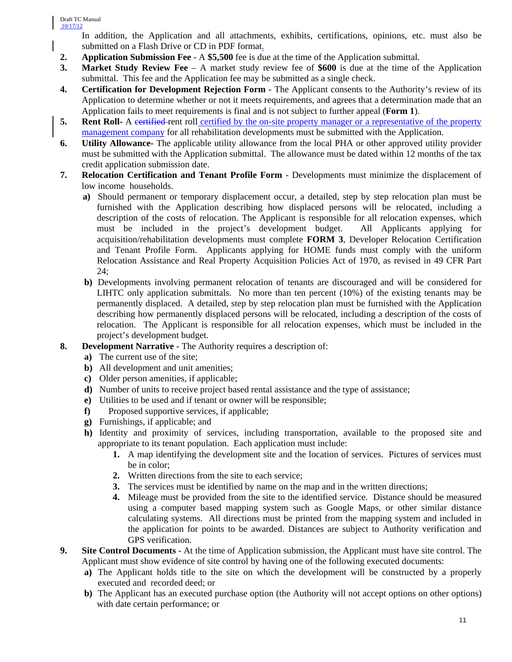In addition, the Application and all attachments, exhibits, certifications, opinions, etc. must also be submitted on a Flash Drive or CD in PDF format.

- **2. Application Submission Fee**  A **\$5,500** fee is due at the time of the Application submittal.
- **3. Market Study Review Fee** A market study review fee of **\$600** is due at the time of the Application submittal. This fee and the Application fee may be submitted as a single check.
- **4. Certification for Development Rejection Form** The Applicant consents to the Authority's review of its Application to determine whether or not it meets requirements, and agrees that a determination made that an Application fails to meet requirements is final and is not subject to further appeal (**Form 1**).
- **5. Rent Roll-** A certified-rent roll certified by the on-site property manager or a representative of the property management company for all rehabilitation developments must be submitted with the Application.
- **6. Utility Allowance-** The applicable utility allowance from the local PHA or other approved utility provider must be submitted with the Application submittal. The allowance must be dated within 12 months of the tax credit application submission date.
- **7. Relocation Certification and Tenant Profile Form** Developments must minimize the displacement of low income households.
	- **a**) Should permanent or temporary displacement occur, a detailed, step by step relocation plan must be furnished with the Application describing how displaced persons will be relocated, including a description of the costs of relocation. The Applicant is responsible for all relocation expenses, which must be included in the project's development budget. All Applicants applying for acquisition/rehabilitation developments must complete **FORM 3**, Developer Relocation Certification and Tenant Profile Form. Applicants applying for HOME funds must comply with the uniform Relocation Assistance and Real Property Acquisition Policies Act of 1970, as revised in 49 CFR Part 24;
	- **b)** Developments involving permanent relocation of tenants are discouraged and will be considered for LIHTC only application submittals. No more than ten percent (10%) of the existing tenants may be permanently displaced. A detailed, step by step relocation plan must be furnished with the Application describing how permanently displaced persons will be relocated, including a description of the costs of relocation. The Applicant is responsible for all relocation expenses, which must be included in the project's development budget.
- **8. Development Narrative** The Authority requires a description of:
	- **a)** The current use of the site;
	- **b)** All development and unit amenities;
	- **c)** Older person amenities, if applicable;
	- **d)** Number of units to receive project based rental assistance and the type of assistance;
	- **e)** Utilities to be used and if tenant or owner will be responsible;
	- **f)** Proposed supportive services, if applicable;
	- **g)** Furnishings, if applicable; and
	- **h)** Identity and proximity of services, including transportation, available to the proposed site and appropriate to its tenant population. Each application must include:
		- **1.** A map identifying the development site and the location of services. Pictures of services must be in color;
		- **2.** Written directions from the site to each service;
		- **3.** The services must be identified by name on the map and in the written directions;
		- **4.** Mileage must be provided from the site to the identified service. Distance should be measured using a computer based mapping system such as Google Maps, or other similar distance calculating systems. All directions must be printed from the mapping system and included in the application for points to be awarded. Distances are subject to Authority verification and GPS verification.
- **9. Site Control Documents** At the time of Application submission, the Applicant must have site control. The Applicant must show evidence of site control by having one of the following executed documents:
	- **a)** The Applicant holds title to the site on which the development will be constructed by a properly executed and recorded deed; or
	- **b**) The Applicant has an executed purchase option (the Authority will not accept options on other options) with date certain performance; or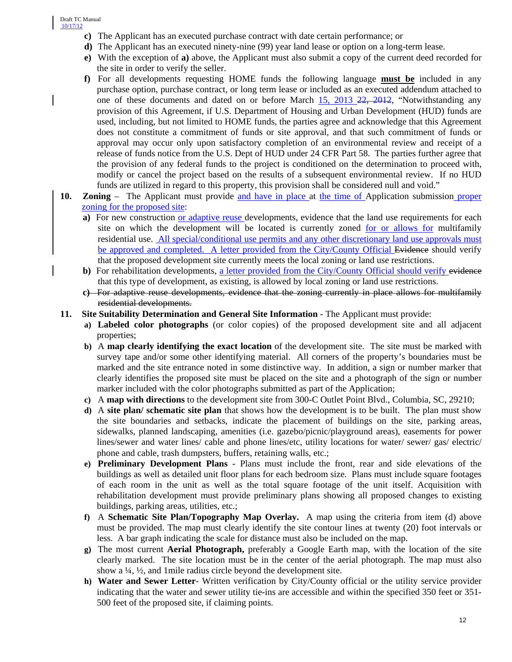- **c)** The Applicant has an executed purchase contract with date certain performance; or
- **d)** The Applicant has an executed ninety-nine (99) year land lease or option on a long-term lease.
- **e)** With the exception of **a)** above, the Applicant must also submit a copy of the current deed recorded for the site in order to verify the seller.
- **f)** For all developments requesting HOME funds the following language **must be** included in any purchase option, purchase contract, or long term lease or included as an executed addendum attached to one of these documents and dated on or before March  $15$ ,  $2013$   $22$ ,  $2012$ , "Notwithstanding any provision of this Agreement, if U.S. Department of Housing and Urban Development (HUD) funds are used, including, but not limited to HOME funds, the parties agree and acknowledge that this Agreement does not constitute a commitment of funds or site approval, and that such commitment of funds or approval may occur only upon satisfactory completion of an environmental review and receipt of a release of funds notice from the U.S. Dept of HUD under 24 CFR Part 58. The parties further agree that the provision of any federal funds to the project is conditioned on the determination to proceed with, modify or cancel the project based on the results of a subsequent environmental review. If no HUD funds are utilized in regard to this property, this provision shall be considered null and void."
- **10. Zoning**  The Applicant must provide and have in place at the time of Application submission proper zoning for the proposed site:
	- **a)** For new construction or adaptive reuse developments, evidence that the land use requirements for each site on which the development will be located is currently zoned for or allows for multifamily residential use. All special/conditional use permits and any other discretionary land use approvals must be approved and completed. A letter provided from the City/County Official Evidence should verify that the proposed development site currently meets the local zoning or land use restrictions.
	- **b**) For rehabilitation developments, a letter provided from the City/County Official should verify evidence that this type of development, as existing, is allowed by local zoning or land use restrictions.
	- **c)** For adaptive reuse developments, evidence that the zoning currently in place allows for multifamily residential developments.
- **11. Site Suitability Determination and General Site Information** The Applicant must provide:
	- **a) Labeled color photographs** (or color copies) of the proposed development site and all adjacent properties;
	- **b)** A **map clearly identifying the exact location** of the development site. The site must be marked with survey tape and/or some other identifying material. All corners of the property's boundaries must be marked and the site entrance noted in some distinctive way. In addition, a sign or number marker that clearly identifies the proposed site must be placed on the site and a photograph of the sign or number marker included with the color photographs submitted as part of the Application;
	- **c)** A **map with directions** to the development site from 300-C Outlet Point Blvd., Columbia, SC, 29210;
	- **d)** A **site plan/ schematic site plan** that shows how the development is to be built. The plan must show the site boundaries and setbacks, indicate the placement of buildings on the site, parking areas, sidewalks, planned landscaping, amenities (i.e. gazebo/picnic/playground areas), easements for power lines/sewer and water lines/ cable and phone lines/etc, utility locations for water/ sewer/ gas/ electric/ phone and cable, trash dumpsters, buffers, retaining walls, etc.;
	- **e) Preliminary Development Plans** Plans must include the front, rear and side elevations of the buildings as well as detailed unit floor plans for each bedroom size. Plans must include square footages of each room in the unit as well as the total square footage of the unit itself. Acquisition with rehabilitation development must provide preliminary plans showing all proposed changes to existing buildings, parking areas, utilities, etc.;
	- **f)** A **Schematic Site Plan/Topography Map Overlay.** A map using the criteria from item (d) above must be provided. The map must clearly identify the site contour lines at twenty (20) foot intervals or less. A bar graph indicating the scale for distance must also be included on the map.
	- **g)** The most current **Aerial Photograph,** preferably a Google Earth map, with the location of the site clearly marked. The site location must be in the center of the aerial photograph. The map must also show a ¼, ½, and 1mile radius circle beyond the development site.
	- **h) Water and Sewer Letter** Written verification by City/County official or the utility service provider indicating that the water and sewer utility tie-ins are accessible and within the specified 350 feet or 351- 500 feet of the proposed site, if claiming points.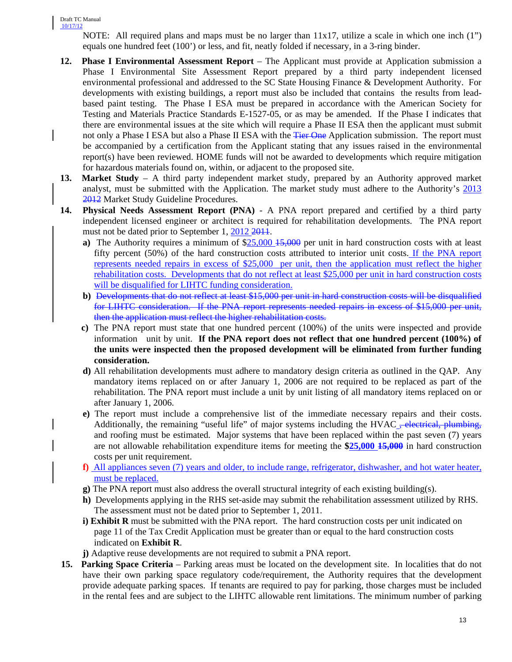NOTE: All required plans and maps must be no larger than 11x17, utilize a scale in which one inch (1") equals one hundred feet (100') or less, and fit, neatly folded if necessary, in a 3-ring binder.

- **12. Phase I Environmental Assessment Report**  The Applicant must provide at Application submission a Phase I Environmental Site Assessment Report prepared by a third party independent licensed environmental professional and addressed to the SC State Housing Finance & Development Authority. For developments with existing buildings, a report must also be included that contains the results from leadbased paint testing. The Phase I ESA must be prepared in accordance with the American Society for Testing and Materials Practice Standards E-1527-05, or as may be amended. If the Phase I indicates that there are environmental issues at the site which will require a Phase II ESA then the applicant must submit not only a Phase I ESA but also a Phase II ESA with the Tier One Application submission. The report must be accompanied by a certification from the Applicant stating that any issues raised in the environmental report(s) have been reviewed. HOME funds will not be awarded to developments which require mitigation for hazardous materials found on, within, or adjacent to the proposed site.
- **13. Market Study**  A third party independent market study, prepared by an Authority approved market analyst, must be submitted with the Application. The market study must adhere to the Authority's 2013 2012 Market Study Guideline Procedures.
- **14. Physical Needs Assessment Report (PNA)** A PNA report prepared and certified by a third party independent licensed engineer or architect is required for rehabilitation developments. The PNA report must not be dated prior to September 1, 2012 2011.
	- **a**) The Authority requires a minimum of \$25,000 15,000 per unit in hard construction costs with at least fifty percent (50%) of the hard construction costs attributed to interior unit costs. If the PNA report represents needed repairs in excess of \$25,000 per unit, then the application must reflect the higher rehabilitation costs. Developments that do not reflect at least \$25,000 per unit in hard construction costs will be disqualified for LIHTC funding consideration.
	- **b)** Developments that do not reflect at least \$15,000 per unit in hard construction costs will be disqualified for LIHTC consideration. If the PNA report represents needed repairs in excess of \$15,000 per unit, then the application must reflect the higher rehabilitation costs.
	- **c)** The PNA report must state that one hundred percent (100%) of the units were inspected and provide information unit by unit. **If the PNA report does not reflect that one hundred percent (100%) of the units were inspected then the proposed development will be eliminated from further funding consideration.**
	- **d)** All rehabilitation developments must adhere to mandatory design criteria as outlined in the QAP. Any mandatory items replaced on or after January 1, 2006 are not required to be replaced as part of the rehabilitation. The PNA report must include a unit by unit listing of all mandatory items replaced on or after January 1, 2006.
	- **e)** The report must include a comprehensive list of the immediate necessary repairs and their costs. Additionally, the remaining "useful life" of major systems including the HVAC <del>, electrical, plumbing,</del> and roofing must be estimated. Major systems that have been replaced within the past seven (7) years are not allowable rehabilitation expenditure items for meeting the **\$25,000 15,000** in hard construction costs per unit requirement.
	- **f)** All appliances seven (7) years and older, to include range, refrigerator, dishwasher, and hot water heater, must be replaced.
	- **g)** The PNA report must also address the overall structural integrity of each existing building(s).
	- **h)** Developments applying in the RHS set-aside may submit the rehabilitation assessment utilized by RHS. The assessment must not be dated prior to September 1, 2011.
	- **i) Exhibit R** must be submitted with the PNA report. The hard construction costs per unit indicated on page 11 of the Tax Credit Application must be greater than or equal to the hard construction costs indicated on **Exhibit R**.
	- **j)** Adaptive reuse developments are not required to submit a PNA report.
- **15. Parking Space Criteria**  Parking areas must be located on the development site. In localities that do not have their own parking space regulatory code/requirement, the Authority requires that the development provide adequate parking spaces. If tenants are required to pay for parking, those charges must be included in the rental fees and are subject to the LIHTC allowable rent limitations. The minimum number of parking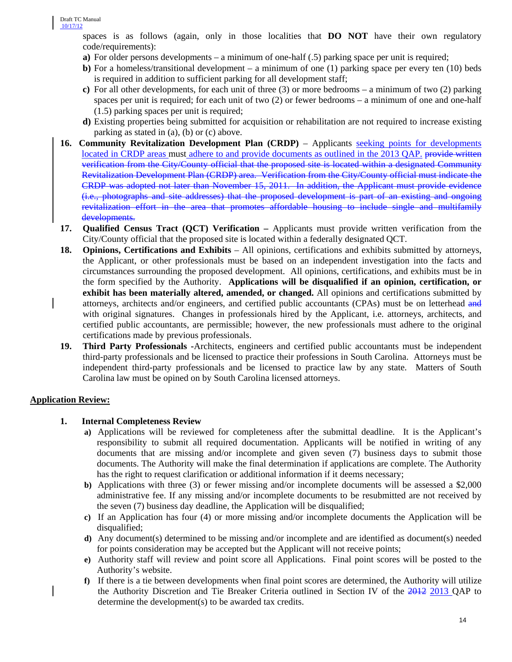spaces is as follows (again, only in those localities that **DO NOT** have their own regulatory code/requirements):

- **a**) For older persons developments a minimum of one-half (.5) parking space per unit is required;
- **b**) For a homeless/transitional development a minimum of one (1) parking space per every ten (10) beds is required in addition to sufficient parking for all development staff;
- **c)** For all other developments, for each unit of three (3) or more bedrooms a minimum of two (2) parking spaces per unit is required; for each unit of two (2) or fewer bedrooms – a minimum of one and one-half (1.5) parking spaces per unit is required;
- **d)** Existing properties being submitted for acquisition or rehabilitation are not required to increase existing parking as stated in (a), (b) or (c) above.
- **16. Community Revitalization Development Plan (CRDP)** Applicants seeking points for developments located in CRDP areas must adhere to and provide documents as outlined in the 2013 QAP. provide written verification from the City/County official that the proposed site is located within a designated Community Revitalization Development Plan (CRDP) area. Verification from the City/County official must indicate the CRDP was adopted not later than November 15, 2011. In addition, the Applicant must provide evidence (i.e., photographs and site addresses) that the proposed development is part of an existing and ongoing revitalization effort in the area that promotes affordable housing to include single and multifamily developments.
- **17. Qualified Census Tract (QCT) Verification –** Applicants must provide written verification from the City/County official that the proposed site is located within a federally designated QCT.
- **18. Opinions, Certifications and Exhibits** All opinions, certifications and exhibits submitted by attorneys, the Applicant, or other professionals must be based on an independent investigation into the facts and circumstances surrounding the proposed development. All opinions, certifications, and exhibits must be in the form specified by the Authority. **Applications will be disqualified if an opinion, certification, or exhibit has been materially altered, amended, or changed.** All opinions and certifications submitted by attorneys, architects and/or engineers, and certified public accountants (CPAs) must be on letterhead and with original signatures. Changes in professionals hired by the Applicant, i.e. attorneys, architects, and certified public accountants, are permissible; however, the new professionals must adhere to the original certifications made by previous professionals.
- **19. Third Party Professionals -**Architects, engineers and certified public accountants must be independent third-party professionals and be licensed to practice their professions in South Carolina. Attorneys must be independent third-party professionals and be licensed to practice law by any state. Matters of South Carolina law must be opined on by South Carolina licensed attorneys.

# **Application Review:**

# **1. Internal Completeness Review**

- **a)** Applications will be reviewed for completeness after the submittal deadline. It is the Applicant's responsibility to submit all required documentation. Applicants will be notified in writing of any documents that are missing and/or incomplete and given seven (7) business days to submit those documents. The Authority will make the final determination if applications are complete. The Authority has the right to request clarification or additional information if it deems necessary;
- **b)** Applications with three (3) or fewer missing and/or incomplete documents will be assessed a \$2,000 administrative fee. If any missing and/or incomplete documents to be resubmitted are not received by the seven (7) business day deadline, the Application will be disqualified;
- **c)** If an Application has four (4) or more missing and/or incomplete documents the Application will be disqualified;
- **d)** Any document(s) determined to be missing and/or incomplete and are identified as document(s) needed for points consideration may be accepted but the Applicant will not receive points;
- **e)** Authority staff will review and point score all Applications. Final point scores will be posted to the Authority's website.
- **f)** If there is a tie between developments when final point scores are determined, the Authority will utilize the Authority Discretion and Tie Breaker Criteria outlined in Section IV of the 2012 2013 QAP to determine the development(s) to be awarded tax credits.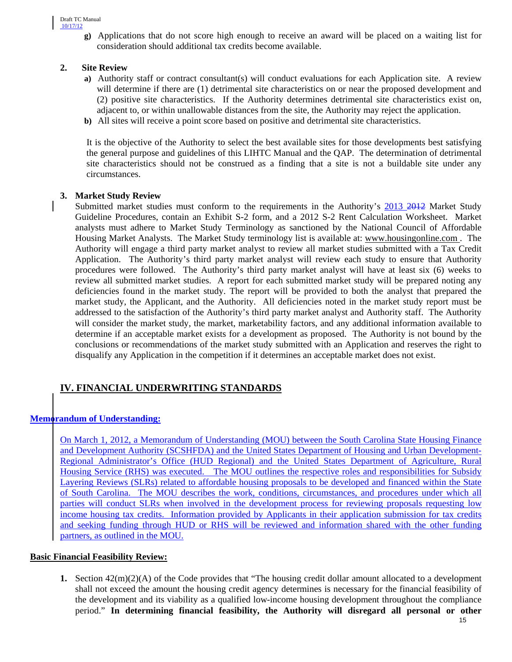**g)** Applications that do not score high enough to receive an award will be placed on a waiting list for consideration should additional tax credits become available.

# **2. Site Review**

- **a)** Authority staff or contract consultant(s) will conduct evaluations for each Application site. A review will determine if there are  $(1)$  detrimental site characteristics on or near the proposed development and (2) positive site characteristics. If the Authority determines detrimental site characteristics exist on, adjacent to, or within unallowable distances from the site, the Authority may reject the application.
- **b)** All sites will receive a point score based on positive and detrimental site characteristics.

It is the objective of the Authority to select the best available sites for those developments best satisfying the general purpose and guidelines of this LIHTC Manual and the QAP. The determination of detrimental site characteristics should not be construed as a finding that a site is not a buildable site under any circumstances.

### **3. Market Study Review**

Submitted market studies must conform to the requirements in the Authority's 2013 2012 Market Study Guideline Procedures, contain an Exhibit S-2 form, and a 2012 S-2 Rent Calculation Worksheet. Market analysts must adhere to Market Study Terminology as sanctioned by the National Council of Affordable Housing Market Analysts. The Market Study terminology list is available at: [www.housingonline.com .](http://www.housingonline.com/) The Authority will engage a third party market analyst to review all market studies submitted with a Tax Credit Application. The Authority's third party market analyst will review each study to ensure that Authority procedures were followed. The Authority's third party market analyst will have at least six (6) weeks to review all submitted market studies. A report for each submitted market study will be prepared noting any deficiencies found in the market study. The report will be provided to both the analyst that prepared the market study, the Applicant, and the Authority. All deficiencies noted in the market study report must be addressed to the satisfaction of the Authority's third party market analyst and Authority staff. The Authority will consider the market study, the market, marketability factors, and any additional information available to determine if an acceptable market exists for a development as proposed. The Authority is not bound by the conclusions or recommendations of the market study submitted with an Application and reserves the right to disqualify any Application in the competition if it determines an acceptable market does not exist.

# **IV. FINANCIAL UNDERWRITING STANDARDS**

# **Memorandum of Understanding:**

On March 1, 2012, a Memorandum of Understanding (MOU) between the South Carolina State Housing Finance and Development Authority (SCSHFDA) and the United States Department of Housing and Urban Development-Regional Administrator's Office (HUD Regional) and the United States Department of Agriculture, Rural Housing Service (RHS) was executed. The MOU outlines the respective roles and responsibilities for Subsidy Layering Reviews (SLRs) related to affordable housing proposals to be developed and financed within the State of South Carolina. The MOU describes the work, conditions, circumstances, and procedures under which all parties will conduct SLRs when involved in the development process for reviewing proposals requesting low income housing tax credits. Information provided by Applicants in their application submission for tax credits and seeking funding through HUD or RHS will be reviewed and information shared with the other funding partners, as outlined in the MOU.

# **Basic Financial Feasibility Review:**

**1.** Section 42(m)(2)(A) of the Code provides that "The housing credit dollar amount allocated to a development shall not exceed the amount the housing credit agency determines is necessary for the financial feasibility of the development and its viability as a qualified low-income housing development throughout the compliance period." **In determining financial feasibility, the Authority will disregard all personal or other**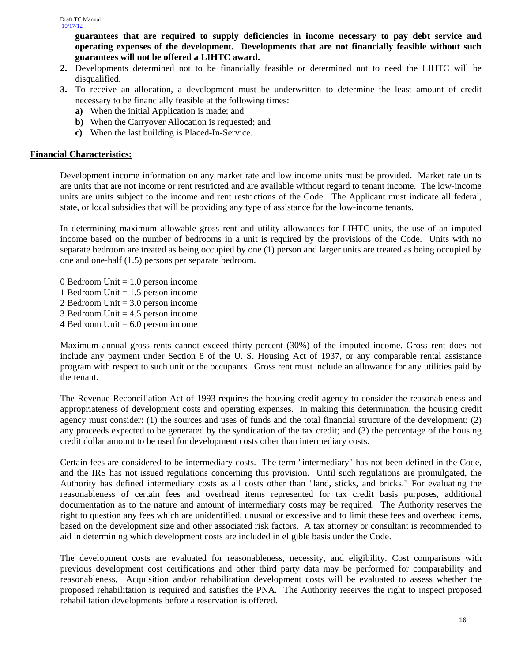**guarantees that are required to supply deficiencies in income necessary to pay debt service and operating expenses of the development. Developments that are not financially feasible without such guarantees will not be offered a LIHTC award.** 

- **2.** Developments determined not to be financially feasible or determined not to need the LIHTC will be disqualified.
- **3.** To receive an allocation, a development must be underwritten to determine the least amount of credit necessary to be financially feasible at the following times:
	- **a)** When the initial Application is made; and
	- **b)** When the Carryover Allocation is requested; and
	- **c)** When the last building is Placed-In-Service.

### **Financial Characteristics:**

Development income information on any market rate and low income units must be provided. Market rate units are units that are not income or rent restricted and are available without regard to tenant income. The low-income units are units subject to the income and rent restrictions of the Code. The Applicant must indicate all federal, state, or local subsidies that will be providing any type of assistance for the low-income tenants.

In determining maximum allowable gross rent and utility allowances for LIHTC units, the use of an imputed income based on the number of bedrooms in a unit is required by the provisions of the Code. Units with no separate bedroom are treated as being occupied by one (1) person and larger units are treated as being occupied by one and one-half (1.5) persons per separate bedroom.

- 0 Bedroom Unit  $= 1.0$  person income
- 1 Bedroom Unit  $= 1.5$  person income
- 2 Bedroom Unit = 3.0 person income
- 3 Bedroom Unit  $= 4.5$  person income
- 4 Bedroom Unit  $= 6.0$  person income

Maximum annual gross rents cannot exceed thirty percent (30%) of the imputed income. Gross rent does not include any payment under Section 8 of the U. S. Housing Act of 1937, or any comparable rental assistance program with respect to such unit or the occupants. Gross rent must include an allowance for any utilities paid by the tenant.

The Revenue Reconciliation Act of 1993 requires the housing credit agency to consider the reasonableness and appropriateness of development costs and operating expenses. In making this determination, the housing credit agency must consider: (1) the sources and uses of funds and the total financial structure of the development; (2) any proceeds expected to be generated by the syndication of the tax credit; and (3) the percentage of the housing credit dollar amount to be used for development costs other than intermediary costs.

Certain fees are considered to be intermediary costs. The term "intermediary" has not been defined in the Code, and the IRS has not issued regulations concerning this provision. Until such regulations are promulgated, the Authority has defined intermediary costs as all costs other than "land, sticks, and bricks." For evaluating the reasonableness of certain fees and overhead items represented for tax credit basis purposes, additional documentation as to the nature and amount of intermediary costs may be required. The Authority reserves the right to question any fees which are unidentified, unusual or excessive and to limit these fees and overhead items, based on the development size and other associated risk factors. A tax attorney or consultant is recommended to aid in determining which development costs are included in eligible basis under the Code.

The development costs are evaluated for reasonableness, necessity, and eligibility. Cost comparisons with previous development cost certifications and other third party data may be performed for comparability and reasonableness. Acquisition and/or rehabilitation development costs will be evaluated to assess whether the proposed rehabilitation is required and satisfies the PNA. The Authority reserves the right to inspect proposed rehabilitation developments before a reservation is offered.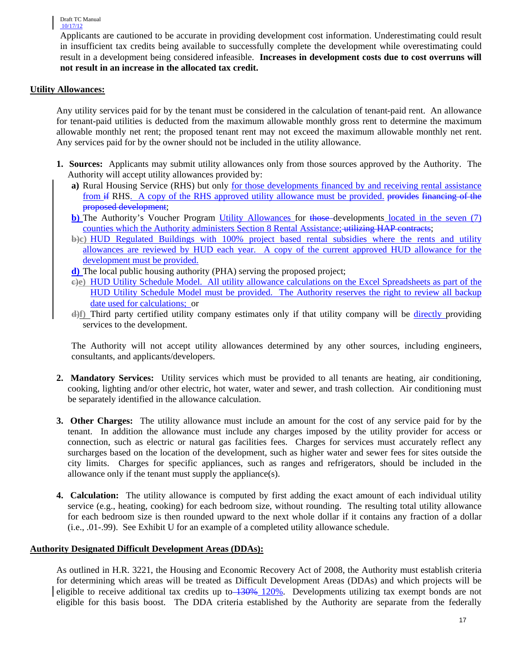Applicants are cautioned to be accurate in providing development cost information. Underestimating could result in insufficient tax credits being available to successfully complete the development while overestimating could result in a development being considered infeasible. **Increases in development costs due to cost overruns will not result in an increase in the allocated tax credit.**

#### **Utility Allowances:**

Any utility services paid for by the tenant must be considered in the calculation of tenant-paid rent. An allowance for tenant-paid utilities is deducted from the maximum allowable monthly gross rent to determine the maximum allowable monthly net rent; the proposed tenant rent may not exceed the maximum allowable monthly net rent. Any services paid for by the owner should not be included in the utility allowance.

- **1. Sources:** Applicants may submit utility allowances only from those sources approved by the Authority. The Authority will accept utility allowances provided by:
	- **a)** Rural Housing Service (RHS) but only for those developments financed by and receiving rental assistance from if RHS. A copy of the RHS approved utility allowance must be provided. <del>provides financing of the</del> proposed development;
	- **b)** The Authority's Voucher Program Utility Allowances for those developments located in the seven (7) counties which the Authority administers Section 8 Rental Assistance; utilizing HAP contracts;
	- **b)c)** HUD Regulated Buildings with 100% project based rental subsidies where the rents and utility allowances are reviewed by HUD each year. A copy of the current approved HUD allowance for the development must be provided.
	- **d)** The local public housing authority (PHA) serving the proposed project;
	- **c)e)** HUD Utility Schedule Model. All utility allowance calculations on the Excel Spreadsheets as part of the HUD Utility Schedule Model must be provided. The Authority reserves the right to review all backup date used for calculations; or
	- **d)f)** Third party certified utility company estimates only if that utility company will be directly providing services to the development.

The Authority will not accept utility allowances determined by any other sources, including engineers, consultants, and applicants/developers.

- **2. Mandatory Services:** Utility services which must be provided to all tenants are heating, air conditioning, cooking, lighting and/or other electric, hot water, water and sewer, and trash collection. Air conditioning must be separately identified in the allowance calculation.
- **3. Other Charges:** The utility allowance must include an amount for the cost of any service paid for by the tenant. In addition the allowance must include any charges imposed by the utility provider for access or connection, such as electric or natural gas facilities fees. Charges for services must accurately reflect any surcharges based on the location of the development, such as higher water and sewer fees for sites outside the city limits. Charges for specific appliances, such as ranges and refrigerators, should be included in the allowance only if the tenant must supply the appliance(s).
- **4. Calculation:** The utility allowance is computed by first adding the exact amount of each individual utility service (e.g., heating, cooking) for each bedroom size, without rounding. The resulting total utility allowance for each bedroom size is then rounded upward to the next whole dollar if it contains any fraction of a dollar (i.e., .01-.99). See Exhibit U for an example of a completed utility allowance schedule.

#### **Authority Designated Difficult Development Areas (DDAs):**

As outlined in H.R. 3221, the Housing and Economic Recovery Act of 2008, the Authority must establish criteria for determining which areas will be treated as Difficult Development Areas (DDAs) and which projects will be eligible to receive additional tax credits up to 130% 120%. Developments utilizing tax exempt bonds are not eligible for this basis boost. The DDA criteria established by the Authority are separate from the federally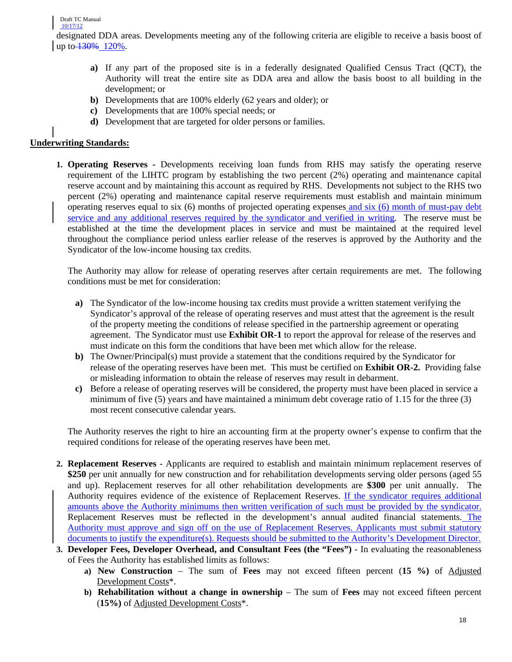designated DDA areas. Developments meeting any of the following criteria are eligible to receive a basis boost of up to  $\frac{130\%}{120\%}$ .

- **a)** If any part of the proposed site is in a federally designated Qualified Census Tract (QCT), the Authority will treat the entire site as DDA area and allow the basis boost to all building in the development; or
- **b)** Developments that are 100% elderly (62 years and older); or
- **c)** Developments that are 100% special needs; or
- **d)** Development that are targeted for older persons or families.

# **Underwriting Standards:**

**1. Operating Reserves -** Developments receiving loan funds from RHS may satisfy the operating reserve requirement of the LIHTC program by establishing the two percent (2%) operating and maintenance capital reserve account and by maintaining this account as required by RHS. Developments not subject to the RHS two percent (2%) operating and maintenance capital reserve requirements must establish and maintain minimum operating reserves equal to six (6) months of projected operating expenses and six (6) month of must-pay debt service and any additional reserves required by the syndicator and verified in writing. The reserve must be established at the time the development places in service and must be maintained at the required level throughout the compliance period unless earlier release of the reserves is approved by the Authority and the Syndicator of the low-income housing tax credits.

 The Authority may allow for release of operating reserves after certain requirements are met. The following conditions must be met for consideration:

- **a)** The Syndicator of the low-income housing tax credits must provide a written statement verifying the Syndicator's approval of the release of operating reserves and must attest that the agreement is the result of the property meeting the conditions of release specified in the partnership agreement or operating agreement. The Syndicator must use **Exhibit OR-1** to report the approval for release of the reserves and must indicate on this form the conditions that have been met which allow for the release.
- **b)** The Owner/Principal(s) must provide a statement that the conditions required by the Syndicator for release of the operating reserves have been met. This must be certified on **Exhibit OR-2.** Providing false or misleading information to obtain the release of reserves may result in debarment.
- **c)** Before a release of operating reserves will be considered, the property must have been placed in service a minimum of five (5) years and have maintained a minimum debt coverage ratio of 1.15 for the three (3) most recent consecutive calendar years.

The Authority reserves the right to hire an accounting firm at the property owner's expense to confirm that the required conditions for release of the operating reserves have been met.

- **2. Replacement Reserves** Applicants are required to establish and maintain minimum replacement reserves of **\$250** per unit annually for new construction and for rehabilitation developments serving older persons (aged 55 and up). Replacement reserves for all other rehabilitation developments are **\$300** per unit annually. The Authority requires evidence of the existence of Replacement Reserves. If the syndicator requires additional amounts above the Authority minimums then written verification of such must be provided by the syndicator. Replacement Reserves must be reflected in the development's annual audited financial statements. The Authority must approve and sign off on the use of Replacement Reserves. Applicants must submit statutory documents to justify the expenditure(s). Requests should be submitted to the Authority's Development Director.
- **3. Developer Fees, Developer Overhead, and Consultant Fees (the "Fees")**  In evaluating the reasonableness of Fees the Authority has established limits as follows:
	- **a) New Construction** The sum of **Fees** may not exceed fifteen percent (**15 %)** of Adjusted Development Costs\*.
	- **b) Rehabilitation without a change in ownership** The sum of **Fees** may not exceed fifteen percent (**15%)** of Adjusted Development Costs\*.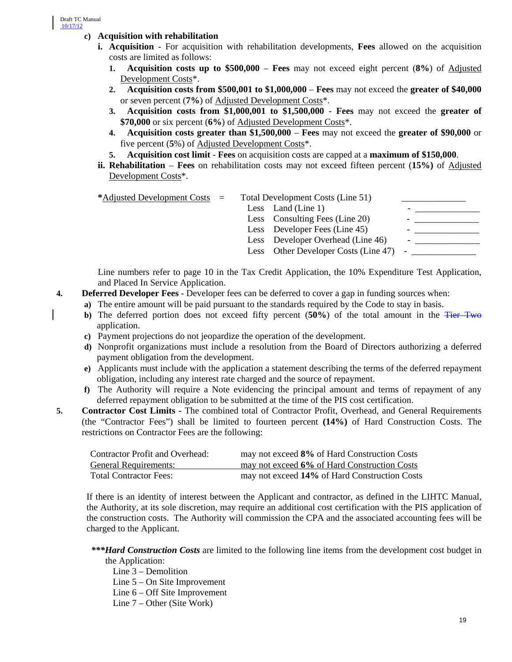#### **c) Acquisition with rehabilitation**

- **i. Acquisition** For acquisition with rehabilitation developments, **Fees** allowed on the acquisition costs are limited as follows:
	- **1. Acquisition costs up to \$500,000 Fees** may not exceed eight percent (**8%**) of Adjusted Development Costs\*.
	- **2. Acquisition costs from \$500,001 to \$1,000,000 Fees** may not exceed the **greater of \$40,000** or seven percent (**7%**) of Adjusted Development Costs\*.
	- **3. Acquisition costs from \$1,000,001 to \$1,500,000 Fees** may not exceed the **greater of \$70,000** or six percent (**6%**) of Adjusted Development Costs\*.
	- **4. Acquisition costs greater than \$1,500,000 Fees** may not exceed the **greater of \$90,000** or five percent (**5**%) of Adjusted Development Costs\*.
	- **5. Acquisition cost limit Fees** on acquisition costs are capped at a **maximum of \$150,000**.
- **ii. Rehabilitation Fees** on rehabilitation costs may not exceed fifteen percent (**15%)** of Adjusted Development Costs\*.

| *Adjusted Development Costs $=$ |  | Total Development Costs (Line 51)        |  |
|---------------------------------|--|------------------------------------------|--|
|                                 |  | Less Land (Line 1)                       |  |
|                                 |  | Less Consulting Fees (Line 20)           |  |
|                                 |  | Less Developer Fees (Line 45)            |  |
|                                 |  | Less Developer Overhead (Line 46)        |  |
|                                 |  | Less Other Developer Costs (Line 47) $-$ |  |
|                                 |  |                                          |  |

Line numbers refer to page 10 in the Tax Credit Application, the 10% Expenditure Test Application, and Placed In Service Application.

- **4. Deferred Developer Fees** Developer fees can be deferred to cover a gap in funding sources when:
	- **a)** The entire amount will be paid pursuant to the standards required by the Code to stay in basis.
	- **b)** The deferred portion does not exceed fifty percent (**50%**) of the total amount in the Tier Two application.
	- **c)** Payment projections do not jeopardize the operation of the development.
	- **d)** Nonprofit organizations must include a resolution from the Board of Directors authorizing a deferred payment obligation from the development.
	- **e)** Applicants must include with the application a statement describing the terms of the deferred repayment obligation, including any interest rate charged and the source of repayment.
	- **f)** The Authority will require a Note evidencing the principal amount and terms of repayment of any deferred repayment obligation to be submitted at the time of the PIS cost certification.
- **5. Contractor Cost Limits** The combined total of Contractor Profit, Overhead, and General Requirements (the "Contractor Fees") shall be limited to fourteen percent **(14%)** of Hard Construction Costs. The restrictions on Contractor Fees are the following:

| Contractor Profit and Overhead: | may not exceed 8% of Hard Construction Costs  |
|---------------------------------|-----------------------------------------------|
| <b>General Requirements:</b>    | may not exceed 6% of Hard Construction Costs  |
| <b>Total Contractor Fees:</b>   | may not exceed 14% of Hard Construction Costs |

If there is an identity of interest between the Applicant and contractor, as defined in the LIHTC Manual, the Authority, at its sole discretion, may require an additional cost certification with the PIS application of the construction costs. The Authority will commission the CPA and the associated accounting fees will be charged to the Applicant.

 *\*\*\*Hard Construction Costs* are limited to the following line items from the development cost budget in the Application:

Line 3 – Demolition

Line 5 – On Site Improvement

Line 6 – Off Site Improvement

Line 7 – Other (Site Work)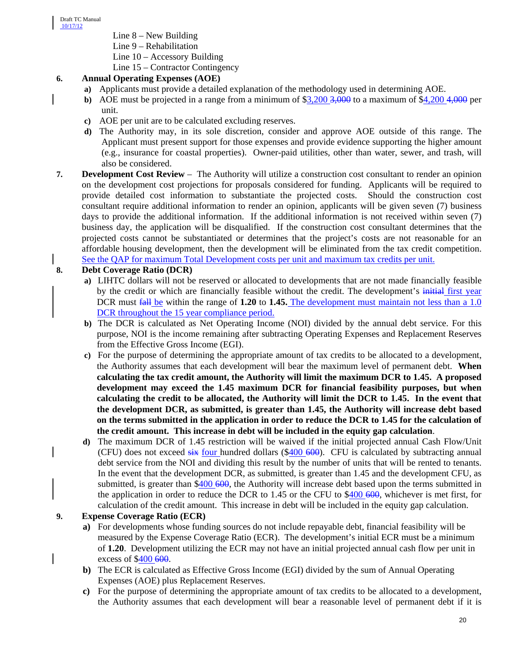- Line 8 New Building
- Line 9 Rehabilitation
- Line 10 Accessory Building

Line 15 – Contractor Contingency

# **6. Annual Operating Expenses (AOE)**

- **a)** Applicants must provide a detailed explanation of the methodology used in determining AOE.
- **b)** AOE must be projected in a range from a minimum of \$3,200 3,000 to a maximum of \$4,200 4,000 per unit.
- **c)** AOE per unit are to be calculated excluding reserves.
- **d)** The Authority may, in its sole discretion, consider and approve AOE outside of this range. The Applicant must present support for those expenses and provide evidence supporting the higher amount (e.g., insurance for coastal properties). Owner-paid utilities, other than water, sewer, and trash, will also be considered.
- **7. Development Cost Review** The Authority will utilize a construction cost consultant to render an opinion on the development cost projections for proposals considered for funding. Applicants will be required to provide detailed cost information to substantiate the projected costs. Should the construction cost consultant require additional information to render an opinion, applicants will be given seven (7) business days to provide the additional information. If the additional information is not received within seven (7) business day, the application will be disqualified. If the construction cost consultant determines that the projected costs cannot be substantiated or determines that the project's costs are not reasonable for an affordable housing development, then the development will be eliminated from the tax credit competition. See the QAP for maximum Total Development costs per unit and maximum tax credits per unit.

# **8. Debt Coverage Ratio (DCR)**

- **a)** LIHTC dollars will not be reserved or allocated to developments that are not made financially feasible by the credit or which are financially feasible without the credit. The development's initial first year DCR must fall be within the range of **1.20** to **1.45.** The development must maintain not less than a 1.0 DCR throughout the 15 year compliance period.
- **b)** The DCR is calculated as Net Operating Income (NOI) divided by the annual debt service. For this purpose, NOI is the income remaining after subtracting Operating Expenses and Replacement Reserves from the Effective Gross Income (EGI).
- **c)** For the purpose of determining the appropriate amount of tax credits to be allocated to a development, the Authority assumes that each development will bear the maximum level of permanent debt. **When calculating the tax credit amount, the Authority will limit the maximum DCR to 1.45. A proposed development may exceed the 1.45 maximum DCR for financial feasibility purposes, but when calculating the credit to be allocated, the Authority will limit the DCR to 1.45. In the event that the development DCR, as submitted, is greater than 1.45, the Authority will increase debt based on the terms submitted in the application in order to reduce the DCR to 1.45 for the calculation of the credit amount. This increase in debt will be included in the equity gap calculation**.
- **d)** The maximum DCR of 1.45 restriction will be waived if the initial projected annual Cash Flow/Unit (CFU) does not exceed  $\frac{1}{x}$  four hundred dollars (\$400 600). CFU is calculated by subtracting annual debt service from the NOI and dividing this result by the number of units that will be rented to tenants. In the event that the development DCR, as submitted, is greater than 1.45 and the development CFU, as submitted, is greater than \$400 600, the Authority will increase debt based upon the terms submitted in the application in order to reduce the DCR to  $1.45$  or the CFU to \$400 600, whichever is met first, for calculation of the credit amount. This increase in debt will be included in the equity gap calculation.

# **9. Expense Coverage Ratio (ECR)**

- **a)** For developments whose funding sources do not include repayable debt, financial feasibility will be measured by the Expense Coverage Ratio (ECR). The development's initial ECR must be a minimum of **1.20**. Development utilizing the ECR may not have an initial projected annual cash flow per unit in excess of \$400 600.
- **b)** The ECR is calculated as Effective Gross Income (EGI) divided by the sum of Annual Operating Expenses (AOE) plus Replacement Reserves.
- **c)** For the purpose of determining the appropriate amount of tax credits to be allocated to a development, the Authority assumes that each development will bear a reasonable level of permanent debt if it is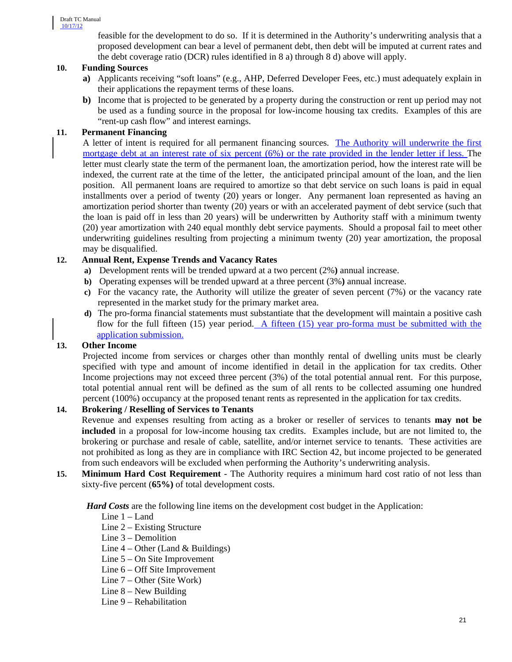feasible for the development to do so. If it is determined in the Authority's underwriting analysis that a proposed development can bear a level of permanent debt, then debt will be imputed at current rates and the debt coverage ratio (DCR) rules identified in 8 a) through 8 d) above will apply.

# **10. Funding Sources**

- **a)** Applicants receiving "soft loans" (e.g., AHP, Deferred Developer Fees, etc.) must adequately explain in their applications the repayment terms of these loans.
- **b)** Income that is projected to be generated by a property during the construction or rent up period may not be used as a funding source in the proposal for low-income housing tax credits. Examples of this are "rent-up cash flow" and interest earnings.

# **11. Permanent Financing**

A letter of intent is required for all permanent financing sources. The Authority will underwrite the first mortgage debt at an interest rate of six percent (6%) or the rate provided in the lender letter if less. The letter must clearly state the term of the permanent loan, the amortization period, how the interest rate will be indexed, the current rate at the time of the letter, the anticipated principal amount of the loan, and the lien position. All permanent loans are required to amortize so that debt service on such loans is paid in equal installments over a period of twenty (20) years or longer. Any permanent loan represented as having an amortization period shorter than twenty (20) years or with an accelerated payment of debt service (such that the loan is paid off in less than 20 years) will be underwritten by Authority staff with a minimum twenty (20) year amortization with 240 equal monthly debt service payments. Should a proposal fail to meet other underwriting guidelines resulting from projecting a minimum twenty (20) year amortization, the proposal may be disqualified.

### **12. Annual Rent, Expense Trends and Vacancy Rates**

- **a)** Development rents will be trended upward at a two percent (2%**)** annual increase.
- **b)** Operating expenses will be trended upward at a three percent (3%**)** annual increase.
- **c)** For the vacancy rate, the Authority will utilize the greater of seven percent (7%) or the vacancy rate represented in the market study for the primary market area.
- **d)** The pro-forma financial statements must substantiate that the development will maintain a positive cash flow for the full fifteen (15) year period. A fifteen (15) year pro-forma must be submitted with the application submission.

# **13. Other Income**

Projected income from services or charges other than monthly rental of dwelling units must be clearly specified with type and amount of income identified in detail in the application for tax credits. Other Income projections may not exceed three percent (3%) of the total potential annual rent. For this purpose, total potential annual rent will be defined as the sum of all rents to be collected assuming one hundred percent (100%) occupancy at the proposed tenant rents as represented in the application for tax credits.

# **14. Brokering / Reselling of Services to Tenants**

Revenue and expenses resulting from acting as a broker or reseller of services to tenants **may not be included** in a proposal for low-income housing tax credits. Examples include, but are not limited to, the brokering or purchase and resale of cable, satellite, and/or internet service to tenants. These activities are not prohibited as long as they are in compliance with IRC Section 42, but income projected to be generated from such endeavors will be excluded when performing the Authority's underwriting analysis.

**15. Minimum Hard Cost Requirement** - The Authority requires a minimum hard cost ratio of not less than sixty-five percent (**65%)** of total development costs.

*Hard Costs* are the following line items on the development cost budget in the Application:

- Line 1 Land
- Line 2 Existing Structure
- Line 3 Demolition
- Line  $4$  Other (Land  $\&$  Buildings)
- Line 5 On Site Improvement
- Line 6 Off Site Improvement
- Line 7 Other (Site Work)
- Line 8 New Building
- Line 9 Rehabilitation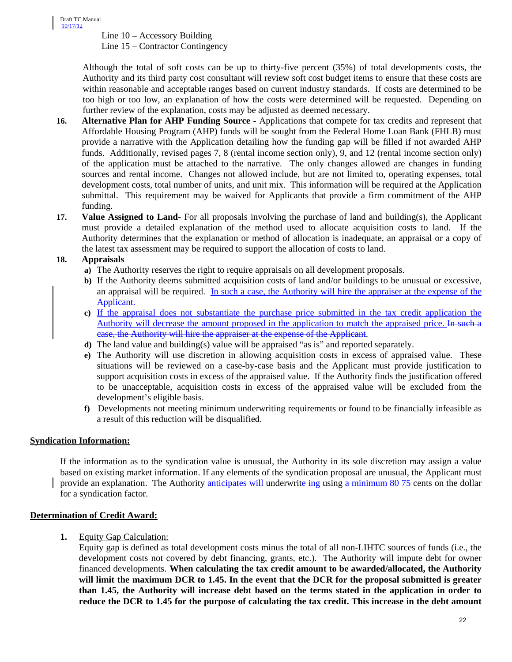Line 10 – Accessory Building Line 15 – Contractor Contingency

Although the total of soft costs can be up to thirty-five percent (35%) of total developments costs, the Authority and its third party cost consultant will review soft cost budget items to ensure that these costs are within reasonable and acceptable ranges based on current industry standards. If costs are determined to be too high or too low, an explanation of how the costs were determined will be requested. Depending on further review of the explanation, costs may be adjusted as deemed necessary.

- **16. Alternative Plan for AHP Funding Source -** Applications that compete for tax credits and represent that Affordable Housing Program (AHP) funds will be sought from the Federal Home Loan Bank (FHLB) must provide a narrative with the Application detailing how the funding gap will be filled if not awarded AHP funds. Additionally, revised pages 7, 8 (rental income section only), 9, and 12 (rental income section only) of the application must be attached to the narrative. The only changes allowed are changes in funding sources and rental income. Changes not allowed include, but are not limited to, operating expenses, total development costs, total number of units, and unit mix. This information will be required at the Application submittal. This requirement may be waived for Applicants that provide a firm commitment of the AHP funding.
- **17. Value Assigned to Land-** For all proposals involving the purchase of land and building(s), the Applicant must provide a detailed explanation of the method used to allocate acquisition costs to land. If the Authority determines that the explanation or method of allocation is inadequate, an appraisal or a copy of the latest tax assessment may be required to support the allocation of costs to land.

# **18. Appraisals**

- **a)** The Authority reserves the right to require appraisals on all development proposals.
- **b)** If the Authority deems submitted acquisition costs of land and/or buildings to be unusual or excessive, an appraisal will be required. In such a case, the Authority will hire the appraiser at the expense of the Applicant.
- **c)** If the appraisal does not substantiate the purchase price submitted in the tax credit application the Authority will decrease the amount proposed in the application to match the appraised price. In such a case, the Authority will hire the appraiser at the expense of the Applicant.
- **d)** The land value and building(s) value will be appraised "as is" and reported separately.
- **e)** The Authority will use discretion in allowing acquisition costs in excess of appraised value. These situations will be reviewed on a case-by-case basis and the Applicant must provide justification to support acquisition costs in excess of the appraised value. If the Authority finds the justification offered to be unacceptable, acquisition costs in excess of the appraised value will be excluded from the development's eligible basis.
- **f)** Developments not meeting minimum underwriting requirements or found to be financially infeasible as a result of this reduction will be disqualified.

#### **Syndication Information:**

If the information as to the syndication value is unusual, the Authority in its sole discretion may assign a value based on existing market information. If any elements of the syndication proposal are unusual, the Applicant must provide an explanation. The Authority anticipates will underwrite ing using a minimum 80 75 cents on the dollar for a syndication factor.

#### **Determination of Credit Award:**

**1.** Equity Gap Calculation:

Equity gap is defined as total development costs minus the total of all non-LIHTC sources of funds (i.e., the development costs not covered by debt financing, grants, etc.). The Authority will impute debt for owner financed developments. **When calculating the tax credit amount to be awarded/allocated, the Authority will limit the maximum DCR to 1.45. In the event that the DCR for the proposal submitted is greater than 1.45, the Authority will increase debt based on the terms stated in the application in order to reduce the DCR to 1.45 for the purpose of calculating the tax credit. This increase in the debt amount**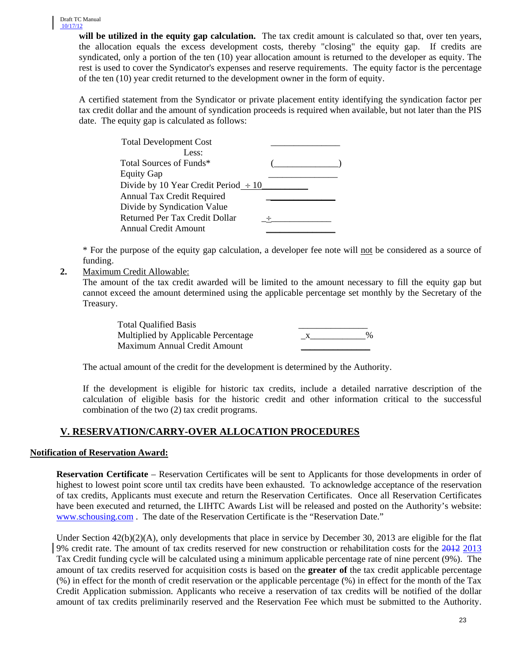will be utilized in the equity gap calculation. The tax credit amount is calculated so that, over ten years, the allocation equals the excess development costs, thereby "closing" the equity gap. If credits are syndicated, only a portion of the ten (10) year allocation amount is returned to the developer as equity. The rest is used to cover the Syndicator's expenses and reserve requirements. The equity factor is the percentage of the ten (10) year credit returned to the development owner in the form of equity.

A certified statement from the Syndicator or private placement entity identifying the syndication factor per tax credit dollar and the amount of syndication proceeds is required when available, but not later than the PIS date. The equity gap is calculated as follows:

| <b>Total Development Cost</b>             |  |
|-------------------------------------------|--|
| Less:                                     |  |
| Total Sources of Funds*                   |  |
| <b>Equity Gap</b>                         |  |
| Divide by 10 Year Credit Period $\div 10$ |  |
| Annual Tax Credit Required                |  |
| Divide by Syndication Value               |  |
| Returned Per Tax Credit Dollar            |  |
| <b>Annual Credit Amount</b>               |  |
|                                           |  |

\* For the purpose of the equity gap calculation, a developer fee note will not be considered as a source of funding.

**2.** Maximum Credit Allowable:

The amount of the tax credit awarded will be limited to the amount necessary to fill the equity gap but cannot exceed the amount determined using the applicable percentage set monthly by the Secretary of the Treasury.

| <b>Total Qualified Basis</b>        |  |
|-------------------------------------|--|
| Multiplied by Applicable Percentage |  |
| Maximum Annual Credit Amount        |  |

The actual amount of the credit for the development is determined by the Authority.

If the development is eligible for historic tax credits, include a detailed narrative description of the calculation of eligible basis for the historic credit and other information critical to the successful combination of the two (2) tax credit programs.

# **V. RESERVATION/CARRY-OVER ALLOCATION PROCEDURES**

# **Notification of Reservation Award:**

**Reservation Certificate** – Reservation Certificates will be sent to Applicants for those developments in order of highest to lowest point score until tax credits have been exhausted. To acknowledge acceptance of the reservation of tax credits, Applicants must execute and return the Reservation Certificates. Once all Reservation Certificates have been executed and returned, the LIHTC Awards List will be released and posted on the Authority's website: [www.schousing.com](http://www.schousing.com/) . The date of the Reservation Certificate is the "Reservation Date."

Under Section 42(b)(2)(A), only developments that place in service by December 30, 2013 are eligible for the flat 9% credit rate. The amount of tax credits reserved for new construction or rehabilitation costs for the 2012 2013 Tax Credit funding cycle will be calculated using a minimum applicable percentage rate of nine percent (9%). The amount of tax credits reserved for acquisition costs is based on the **greater of** the tax credit applicable percentage (%) in effect for the month of credit reservation or the applicable percentage (%) in effect for the month of the Tax Credit Application submission. Applicants who receive a reservation of tax credits will be notified of the dollar amount of tax credits preliminarily reserved and the Reservation Fee which must be submitted to the Authority.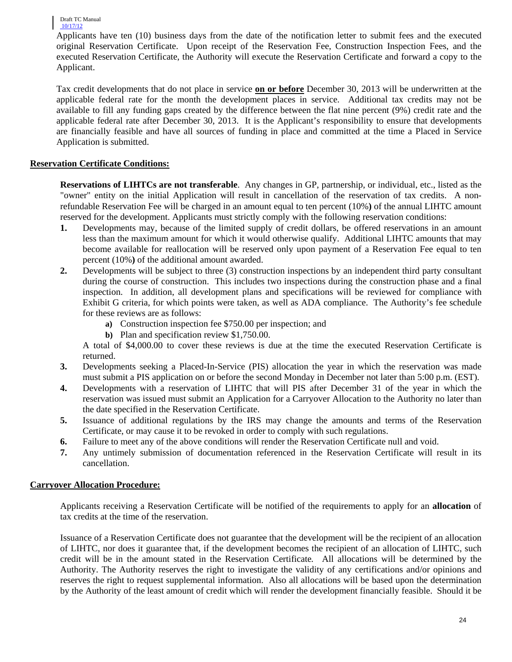Draft TC Manual 10/17/12

Applicants have ten (10) business days from the date of the notification letter to submit fees and the executed original Reservation Certificate. Upon receipt of the Reservation Fee, Construction Inspection Fees, and the executed Reservation Certificate, the Authority will execute the Reservation Certificate and forward a copy to the Applicant.

Tax credit developments that do not place in service **on or before** December 30, 2013 will be underwritten at the applicable federal rate for the month the development places in service. Additional tax credits may not be available to fill any funding gaps created by the difference between the flat nine percent (9%) credit rate and the applicable federal rate after December 30, 2013. It is the Applicant's responsibility to ensure that developments are financially feasible and have all sources of funding in place and committed at the time a Placed in Service Application is submitted.

# **Reservation Certificate Conditions:**

**Reservations of LIHTCs are not transferable**. Any changes in GP, partnership, or individual, etc., listed as the "owner" entity on the initial Application will result in cancellation of the reservation of tax credits. A nonrefundable Reservation Fee will be charged in an amount equal to ten percent (10%**)** of the annual LIHTC amount reserved for the development. Applicants must strictly comply with the following reservation conditions:

- **1.** Developments may, because of the limited supply of credit dollars, be offered reservations in an amount less than the maximum amount for which it would otherwise qualify. Additional LIHTC amounts that may become available for reallocation will be reserved only upon payment of a Reservation Fee equal to ten percent (10%**)** of the additional amount awarded.
- **2.** Developments will be subject to three (3) construction inspections by an independent third party consultant during the course of construction. This includes two inspections during the construction phase and a final inspection. In addition, all development plans and specifications will be reviewed for compliance with Exhibit G criteria, for which points were taken, as well as ADA compliance. The Authority's fee schedule for these reviews are as follows:
	- **a)** Construction inspection fee \$750.00 per inspection; and
	- **b)** Plan and specification review \$1,750.00.

A total of \$4,000.00 to cover these reviews is due at the time the executed Reservation Certificate is returned.

- **3.** Developments seeking a Placed-In-Service (PIS) allocation the year in which the reservation was made must submit a PIS application on or before the second Monday in December not later than 5:00 p.m. (EST).
- **4.** Developments with a reservation of LIHTC that will PIS after December 31 of the year in which the reservation was issued must submit an Application for a Carryover Allocation to the Authority no later than the date specified in the Reservation Certificate.
- **5.** Issuance of additional regulations by the IRS may change the amounts and terms of the Reservation Certificate, or may cause it to be revoked in order to comply with such regulations.
- **6.** Failure to meet any of the above conditions will render the Reservation Certificate null and void.
- **7.** Any untimely submission of documentation referenced in the Reservation Certificate will result in its cancellation.

# **Carryover Allocation Procedure:**

Applicants receiving a Reservation Certificate will be notified of the requirements to apply for an **allocation** of tax credits at the time of the reservation.

Issuance of a Reservation Certificate does not guarantee that the development will be the recipient of an allocation of LIHTC, nor does it guarantee that, if the development becomes the recipient of an allocation of LIHTC, such credit will be in the amount stated in the Reservation Certificate*.* All allocations will be determined by the Authority. The Authority reserves the right to investigate the validity of any certifications and/or opinions and reserves the right to request supplemental information. Also all allocations will be based upon the determination by the Authority of the least amount of credit which will render the development financially feasible. Should it be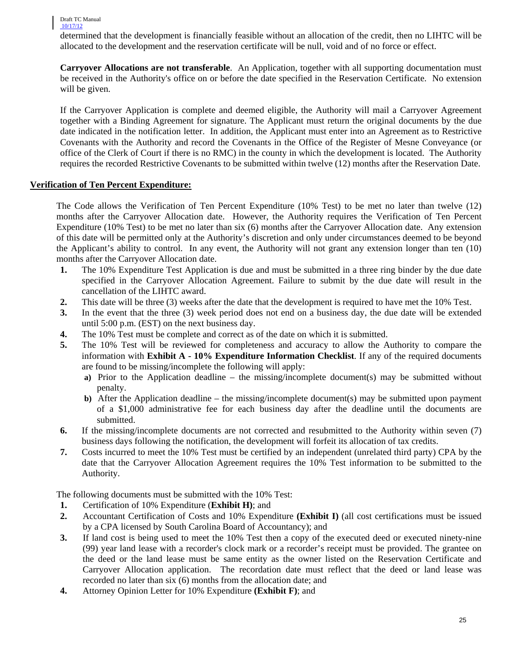#### Draft TC Manual 10/17/12

determined that the development is financially feasible without an allocation of the credit, then no LIHTC will be allocated to the development and the reservation certificate will be null, void and of no force or effect.

**Carryover Allocations are not transferable**. An Application, together with all supporting documentation must be received in the Authority's office on or before the date specified in the Reservation Certificate. No extension will be given.

If the Carryover Application is complete and deemed eligible, the Authority will mail a Carryover Agreement together with a Binding Agreement for signature. The Applicant must return the original documents by the due date indicated in the notification letter. In addition, the Applicant must enter into an Agreement as to Restrictive Covenants with the Authority and record the Covenants in the Office of the Register of Mesne Conveyance (or office of the Clerk of Court if there is no RMC) in the county in which the development is located. The Authority requires the recorded Restrictive Covenants to be submitted within twelve (12) months after the Reservation Date.

#### **Verification of Ten Percent Expenditure:**

The Code allows the Verification of Ten Percent Expenditure (10% Test) to be met no later than twelve (12) months after the Carryover Allocation date. However, the Authority requires the Verification of Ten Percent Expenditure (10% Test) to be met no later than six (6) months after the Carryover Allocation date.Any extension of this date will be permitted only at the Authority's discretion and only under circumstances deemed to be beyond the Applicant's ability to control. In any event, the Authority will not grant any extension longer than ten (10) months after the Carryover Allocation date.

- **1.** The 10% Expenditure Test Application is due and must be submitted in a three ring binder by the due date specified in the Carryover Allocation Agreement. Failure to submit by the due date will result in the cancellation of the LIHTC award.
- **2.** This date will be three (3) weeks after the date that the development is required to have met the 10% Test.
- **3.** In the event that the three (3) week period does not end on a business day, the due date will be extended until 5:00 p.m. (EST) on the next business day.
- **4.** The 10% Test must be complete and correct as of the date on which it is submitted.
- **5.** The 10% Test will be reviewed for completeness and accuracy to allow the Authority to compare the information with **Exhibit A - 10% Expenditure Information Checklist**. If any of the required documents are found to be missing/incomplete the following will apply:
	- **a)** Prior to the Application deadline the missing/incomplete document(s) may be submitted without penalty.
	- **b)** After the Application deadline the missing/incomplete document(s) may be submitted upon payment of a \$1,000 administrative fee for each business day after the deadline until the documents are submitted.
- **6.** If the missing/incomplete documents are not corrected and resubmitted to the Authority within seven (7) business days following the notification, the development will forfeit its allocation of tax credits.
- **7.** Costs incurred to meet the 10% Test must be certified by an independent (unrelated third party) CPA by the date that the Carryover Allocation Agreement requires the 10% Test information to be submitted to the Authority.

The following documents must be submitted with the 10% Test:

- **1.** Certification of 10% Expenditure (**Exhibit H)**; and
- **2.** Accountant Certification of Costs and 10% Expenditure **(Exhibit I)** (all cost certifications must be issued by a CPA licensed by South Carolina Board of Accountancy); and
- **3.** If land cost is being used to meet the 10% Test then a copy of the executed deed or executed ninety-nine (99) year land lease with a recorder's clock mark or a recorder's receipt must be provided. The grantee on the deed or the land lease must be same entity as the owner listed on the Reservation Certificate and Carryover Allocation application. The recordation date must reflect that the deed or land lease was recorded no later than six (6) months from the allocation date; and
- **4.** Attorney Opinion Letter for 10% Expenditure **(Exhibit F)**; and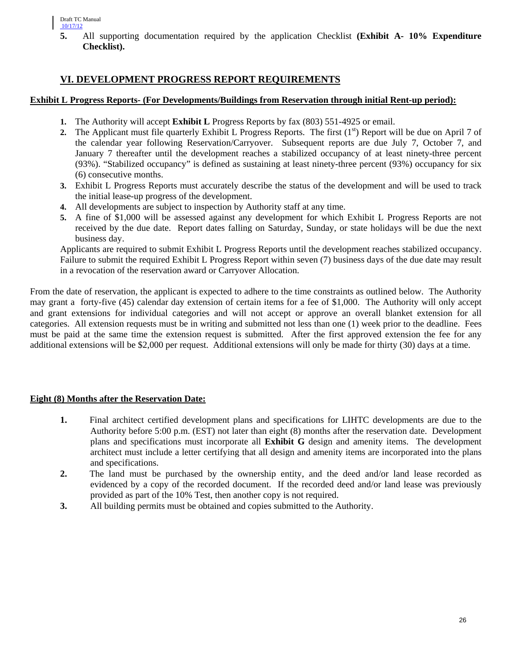**5.** All supporting documentation required by the application Checklist **(Exhibit A- 10% Expenditure Checklist).**

# **VI. DEVELOPMENT PROGRESS REPORT REQUIREMENTS**

#### **Exhibit L Progress Reports- (For Developments/Buildings from Reservation through initial Rent-up period):**

- **1.** The Authority will accept **Exhibit L** Progress Reports by fax (803) 551-4925 or email.
- **2.** The Applicant must file quarterly Exhibit L Progress Reports. The first  $(1<sup>st</sup>)$  Report will be due on April 7 of the calendar year following Reservation/Carryover. Subsequent reports are due July 7, October 7, and January 7 thereafter until the development reaches a stabilized occupancy of at least ninety-three percent (93%). "Stabilized occupancy" is defined as sustaining at least ninety-three percent (93%) occupancy for six (6) consecutive months.
- **3.** Exhibit L Progress Reports must accurately describe the status of the development and will be used to track the initial lease-up progress of the development.
- **4.** All developments are subject to inspection by Authority staff at any time.
- **5.** A fine of \$1,000 will be assessed against any development for which Exhibit L Progress Reports are not received by the due date. Report dates falling on Saturday, Sunday, or state holidays will be due the next business day.

Applicants are required to submit Exhibit L Progress Reports until the development reaches stabilized occupancy. Failure to submit the required Exhibit L Progress Report within seven (7) business days of the due date may result in a revocation of the reservation award or Carryover Allocation.

From the date of reservation, the applicant is expected to adhere to the time constraints as outlined below. The Authority may grant a forty-five (45) calendar day extension of certain items for a fee of \$1,000. The Authority will only accept and grant extensions for individual categories and will not accept or approve an overall blanket extension for all categories. All extension requests must be in writing and submitted not less than one (1) week prior to the deadline. Fees must be paid at the same time the extension request is submitted. After the first approved extension the fee for any additional extensions will be \$2,000 per request. Additional extensions will only be made for thirty (30) days at a time.

# **Eight (8) Months after the Reservation Date:**

- **1.** Final architect certified development plans and specifications for LIHTC developments are due to the Authority before 5:00 p.m. (EST) not later than eight (8) months after the reservation date. Development plans and specifications must incorporate all **Exhibit G** design and amenity items. The development architect must include a letter certifying that all design and amenity items are incorporated into the plans and specifications.
- **2.** The land must be purchased by the ownership entity, and the deed and/or land lease recorded as evidenced by a copy of the recorded document. If the recorded deed and/or land lease was previously provided as part of the 10% Test, then another copy is not required.
- **3.** All building permits must be obtained and copies submitted to the Authority.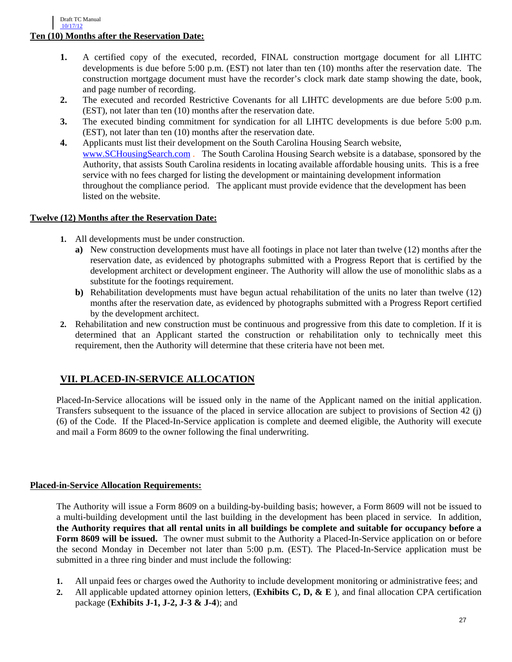- **1.** A certified copy of the executed, recorded, FINAL construction mortgage document for all LIHTC developments is due before 5:00 p.m. (EST) not later than ten (10) months after the reservation date. The construction mortgage document must have the recorder's clock mark date stamp showing the date, book, and page number of recording.
- **2.** The executed and recorded Restrictive Covenants for all LIHTC developments are due before 5:00 p.m. (EST), not later than ten (10) months after the reservation date.
- **3.** The executed binding commitment for syndication for all LIHTC developments is due before 5:00 p.m. (EST), not later than ten (10) months after the reservation date.
- **4.** Applicants must list their development on the South Carolina Housing Search website, [www.SCHousingSearch.com](http://www.schousingsearch.com/) . The South Carolina Housing Search website is a database, sponsored by the Authority, that assists South Carolina residents in locating available affordable housing units. This is a free service with no fees charged for listing the development or maintaining development information throughout the compliance period. The applicant must provide evidence that the development has been listed on the website.

# **Twelve (12) Months after the Reservation Date:**

- **1.** All developments must be under construction.
	- **a)** New construction developments must have all footings in place not later than twelve (12) months after the reservation date, as evidenced by photographs submitted with a Progress Report that is certified by the development architect or development engineer. The Authority will allow the use of monolithic slabs as a substitute for the footings requirement.
	- **b)** Rehabilitation developments must have begun actual rehabilitation of the units no later than twelve (12) months after the reservation date, as evidenced by photographs submitted with a Progress Report certified by the development architect.
- **2.** Rehabilitation and new construction must be continuous and progressive from this date to completion. If it is determined that an Applicant started the construction or rehabilitation only to technically meet this requirement, then the Authority will determine that these criteria have not been met.

# **VII. PLACED-IN-SERVICE ALLOCATION**

Placed-In-Service allocations will be issued only in the name of the Applicant named on the initial application. Transfers subsequent to the issuance of the placed in service allocation are subject to provisions of Section 42 (j) (6) of the Code. If the Placed-In-Service application is complete and deemed eligible, the Authority will execute and mail a Form 8609 to the owner following the final underwriting.

# **Placed-in-Service Allocation Requirements:**

The Authority will issue a Form 8609 on a building-by-building basis; however, a Form 8609 will not be issued to a multi-building development until the last building in the development has been placed in service*.* In addition, **the Authority requires that all rental units in all buildings be complete and suitable for occupancy before a Form 8609 will be issued.** The owner must submit to the Authority a Placed-In-Service application on or before the second Monday in December not later than 5:00 p.m. (EST). The Placed-In-Service application must be submitted in a three ring binder and must include the following:

- **1.** All unpaid fees or charges owed the Authority to include development monitoring or administrative fees; and
- **2.** All applicable updated attorney opinion letters, (**Exhibits C, D, & E** ), and final allocation CPA certification package (**Exhibits J-1, J-2, J-3 & J-4**); and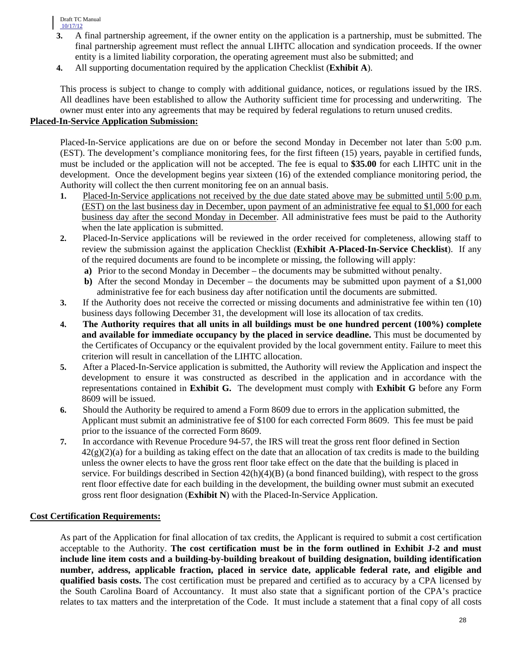Draft TC Manual 10/17/12

- **3.** A final partnership agreement, if the owner entity on the application is a partnership, must be submitted. The final partnership agreement must reflect the annual LIHTC allocation and syndication proceeds. If the owner entity is a limited liability corporation, the operating agreement must also be submitted; and
- **4.** All supporting documentation required by the application Checklist (**Exhibit A**).

This process is subject to change to comply with additional guidance, notices, or regulations issued by the IRS. All deadlines have been established to allow the Authority sufficient time for processing and underwriting. The owner must enter into any agreements that may be required by federal regulations to return unused credits.

### **Placed-In-Service Application Submission:**

Placed-In-Service applications are due on or before the second Monday in December not later than 5:00 p.m. (EST). The development's compliance monitoring fees, for the first fifteen (15) years, payable in certified funds, must be included or the application will not be accepted. The fee is equal to **\$35.00** for each LIHTC unit in the development. Once the development begins year sixteen (16) of the extended compliance monitoring period, the Authority will collect the then current monitoring fee on an annual basis.

- **1.** Placed-In-Service applications not received by the due date stated above may be submitted until 5:00 p.m. (EST) on the last business day in December, upon payment of an administrative fee equal to \$1,000 for each business day after the second Monday in December. All administrative fees must be paid to the Authority when the late application is submitted.
- **2.** Placed-In-Service applications will be reviewed in the order received for completeness, allowing staff to review the submission against the application Checklist (**Exhibit A-Placed-In-Service Checklist**). If any of the required documents are found to be incomplete or missing, the following will apply:
	- **a)** Prior to the second Monday in December the documents may be submitted without penalty.
	- **b**) After the second Monday in December the documents may be submitted upon payment of a \$1,000 administrative fee for each business day after notification until the documents are submitted.
- **3.** If the Authority does not receive the corrected or missing documents and administrative fee within ten (10) business days following December 31, the development will lose its allocation of tax credits.
- **4. The Authority requires that all units in all buildings must be one hundred percent (100%) complete and available for immediate occupancy by the placed in service deadline.** This must be documented by the Certificates of Occupancy or the equivalent provided by the local government entity. Failure to meet this criterion will result in cancellation of the LIHTC allocation.
- **5.** After a Placed-In-Service application is submitted, the Authority will review the Application and inspect the development to ensure it was constructed as described in the application and in accordance with the representations contained in **Exhibit G.** The development must comply with **Exhibit G** before any Form 8609 will be issued.
- **6.** Should the Authority be required to amend a Form 8609 due to errors in the application submitted, the Applicant must submit an administrative fee of \$100 for each corrected Form 8609. This fee must be paid prior to the issuance of the corrected Form 8609.
- **7.** In accordance with Revenue Procedure 94-57, the IRS will treat the gross rent floor defined in Section  $42(g)(2)(a)$  for a building as taking effect on the date that an allocation of tax credits is made to the building unless the owner elects to have the gross rent floor take effect on the date that the building is placed in service. For buildings described in Section  $42(h)(4)(B)$  (a bond financed building), with respect to the gross rent floor effective date for each building in the development, the building owner must submit an executed gross rent floor designation (**Exhibit N**) with the Placed-In-Service Application.

# **Cost Certification Requirements:**

As part of the Application for final allocation of tax credits, the Applicant is required to submit a cost certification acceptable to the Authority. **The cost certification must be in the form outlined in Exhibit J-2 and must include line item costs and a building-by-building breakout of building designation, building identification number, address, applicable fraction, placed in service date, applicable federal rate, and eligible and qualified basis costs.** The cost certification must be prepared and certified as to accuracy by a CPA licensed by the South Carolina Board of Accountancy. It must also state that a significant portion of the CPA's practice relates to tax matters and the interpretation of the Code. It must include a statement that a final copy of all costs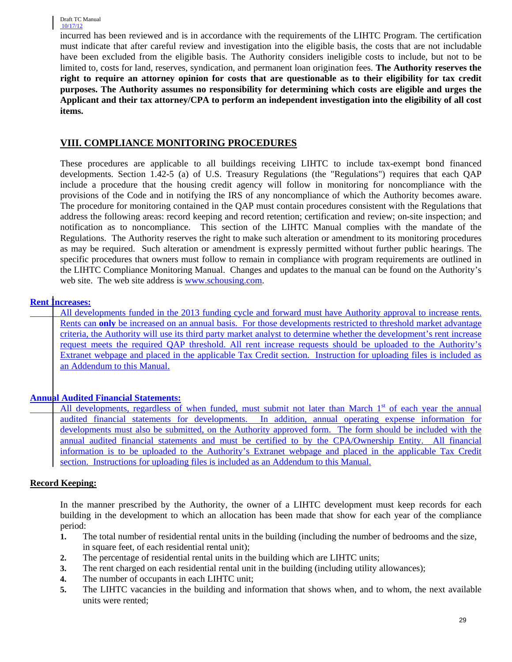incurred has been reviewed and is in accordance with the requirements of the LIHTC Program. The certification must indicate that after careful review and investigation into the eligible basis, the costs that are not includable have been excluded from the eligible basis. The Authority considers ineligible costs to include, but not to be limited to, costs for land, reserves, syndication, and permanent loan origination fees. **The Authority reserves the right to require an attorney opinion for costs that are questionable as to their eligibility for tax credit purposes. The Authority assumes no responsibility for determining which costs are eligible and urges the Applicant and their tax attorney/CPA to perform an independent investigation into the eligibility of all cost items.**

# **VIII. COMPLIANCE MONITORING PROCEDURES**

These procedures are applicable to all buildings receiving LIHTC to include tax-exempt bond financed developments. Section 1.42-5 (a) of U.S. Treasury Regulations (the "Regulations") requires that each QAP include a procedure that the housing credit agency will follow in monitoring for noncompliance with the provisions of the Code and in notifying the IRS of any noncompliance of which the Authority becomes aware. The procedure for monitoring contained in the QAP must contain procedures consistent with the Regulations that address the following areas: record keeping and record retention; certification and review; on-site inspection; and notification as to noncompliance. This section of the LIHTC Manual complies with the mandate of the Regulations. The Authority reserves the right to make such alteration or amendment to its monitoring procedures as may be required. Such alteration or amendment is expressly permitted without further public hearings. The specific procedures that owners must follow to remain in compliance with program requirements are outlined in the LIHTC Compliance Monitoring Manual. Changes and updates to the manual can be found on the Authority's web site. The web site address is [www.schousing.com.](http://www.schousing.com/)

# **Rent Increases:**

All developments funded in the 2013 funding cycle and forward must have Authority approval to increase rents. Rents can **only** be increased on an annual basis. For those developments restricted to threshold market advantage criteria, the Authority will use its third party market analyst to determine whether the development's rent increase request meets the required QAP threshold. All rent increase requests should be uploaded to the Authority's Extranet webpage and placed in the applicable Tax Credit section. Instruction for uploading files is included as an Addendum to this Manual.

# **Annual Audited Financial Statements:**

All developments, regardless of when funded, must submit not later than March  $1<sup>st</sup>$  of each year the annual audited financial statements for developments. In addition, annual operating expense information for developments must also be submitted, on the Authority approved form. The form should be included with the annual audited financial statements and must be certified to by the CPA/Ownership Entity. All financial information is to be uploaded to the Authority's Extranet webpage and placed in the applicable Tax Credit section. Instructions for uploading files is included as an Addendum to this Manual.

# **Record Keeping:**

In the manner prescribed by the Authority, the owner of a LIHTC development must keep records for each building in the development to which an allocation has been made that show for each year of the compliance period:

- **1.** The total number of residential rental units in the building (including the number of bedrooms and the size, in square feet, of each residential rental unit);
- **2.** The percentage of residential rental units in the building which are LIHTC units;
- **3.** The rent charged on each residential rental unit in the building (including utility allowances);
- **4.** The number of occupants in each LIHTC unit;
- **5.** The LIHTC vacancies in the building and information that shows when, and to whom, the next available units were rented;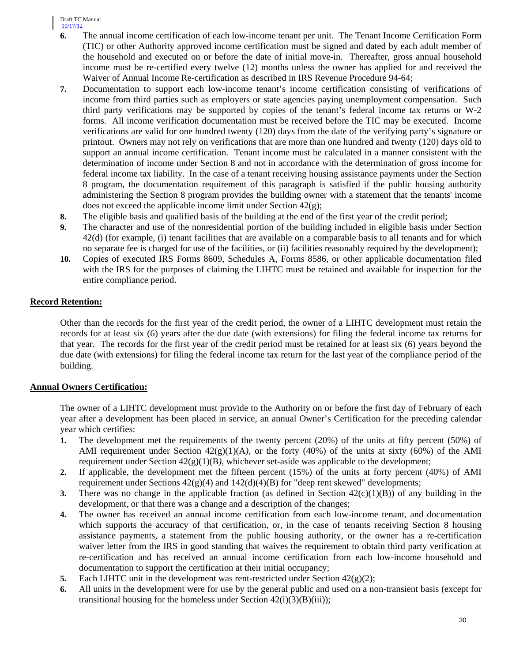Draft TC Manual 10/17/12

- **6.** The annual income certification of each low-income tenant per unit. The Tenant Income Certification Form (TIC) or other Authority approved income certification must be signed and dated by each adult member of the household and executed on or before the date of initial move-in. Thereafter, gross annual household income must be re-certified every twelve (12) months unless the owner has applied for and received the Waiver of Annual Income Re-certification as described in IRS Revenue Procedure 94-64;
- **7.** Documentation to support each low-income tenant's income certification consisting of verifications of income from third parties such as employers or state agencies paying unemployment compensation. Such third party verifications may be supported by copies of the tenant's federal income tax returns or W-2 forms. All income verification documentation must be received before the TIC may be executed. Income verifications are valid for one hundred twenty (120) days from the date of the verifying party's signature or printout. Owners may not rely on verifications that are more than one hundred and twenty (120) days old to support an annual income certification. Tenant income must be calculated in a manner consistent with the determination of income under Section 8 and not in accordance with the determination of gross income for federal income tax liability. In the case of a tenant receiving housing assistance payments under the Section 8 program, the documentation requirement of this paragraph is satisfied if the public housing authority administering the Section 8 program provides the building owner with a statement that the tenants' income does not exceed the applicable income limit under Section 42(g);
- **8.** The eligible basis and qualified basis of the building at the end of the first year of the credit period;
- **9.** The character and use of the nonresidential portion of the building included in eligible basis under Section 42(d) (for example, (i) tenant facilities that are available on a comparable basis to all tenants and for which no separate fee is charged for use of the facilities, or (ii) facilities reasonably required by the development);
- **10.** Copies of executed IRS Forms 8609, Schedules A, Forms 8586, or other applicable documentation filed with the IRS for the purposes of claiming the LIHTC must be retained and available for inspection for the entire compliance period.

# **Record Retention:**

Other than the records for the first year of the credit period, the owner of a LIHTC development must retain the records for at least six (6) years after the due date (with extensions) for filing the federal income tax returns for that year. The records for the first year of the credit period must be retained for at least six (6) years beyond the due date (with extensions) for filing the federal income tax return for the last year of the compliance period of the building.

# **Annual Owners Certification:**

The owner of a LIHTC development must provide to the Authority on or before the first day of February of each year after a development has been placed in service, an annual Owner's Certification for the preceding calendar year which certifies:

- **1.** The development met the requirements of the twenty percent (20%) of the units at fifty percent (50%) of AMI requirement under Section 42(g)(1)(A*),* or the forty (40%) of the units at sixty (60%) of the AMI requirement under Section 42(g)(1)(B*)*, whichever set-aside was applicable to the development;
- **2.** If applicable, the development met the fifteen percent (15%) of the units at forty percent (40%) of AMI requirement under Sections  $42(g)(4)$  and  $142(d)(4)(B)$  for "deep rent skewed" developments;
- **3.** There was no change in the applicable fraction (as defined in Section  $42(c)(1)(B)$ ) of any building in the development, or that there was a change and a description of the changes;
- **4.** The owner has received an annual income certification from each low-income tenant, and documentation which supports the accuracy of that certification, or, in the case of tenants receiving Section 8 housing assistance payments, a statement from the public housing authority, or the owner has a re-certification waiver letter from the IRS in good standing that waives the requirement to obtain third party verification at re-certification and has received an annual income certification from each low-income household and documentation to support the certification at their initial occupancy;
- **5.** Each LIHTC unit in the development was rent-restricted under Section  $42(g)(2)$ ;
- **6.** All units in the development were for use by the general public and used on a non-transient basis (except for transitional housing for the homeless under Section  $42(i)(3)(B)(iii)$ ;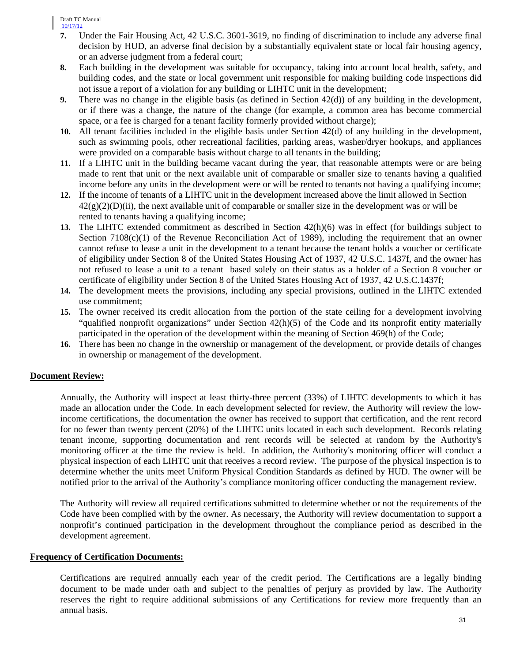Draft TC Manual 10/17/12

- **7.** Under the Fair Housing Act, 42 U.S.C. 3601-3619, no finding of discrimination to include any adverse final decision by HUD, an adverse final decision by a substantially equivalent state or local fair housing agency, or an adverse judgment from a federal court;
- **8.** Each building in the development was suitable for occupancy, taking into account local health, safety, and building codes, and the state or local government unit responsible for making building code inspections did not issue a report of a violation for any building or LIHTC unit in the development;
- **9.** There was no change in the eligible basis (as defined in Section 42(d)) of any building in the development, or if there was a change, the nature of the change (for example, a common area has become commercial space, or a fee is charged for a tenant facility formerly provided without charge);
- **10.** All tenant facilities included in the eligible basis under Section 42(d) of any building in the development, such as swimming pools, other recreational facilities, parking areas, washer/dryer hookups, and appliances were provided on a comparable basis without charge to all tenants in the building;
- **11.** If a LIHTC unit in the building became vacant during the year, that reasonable attempts were or are being made to rent that unit or the next available unit of comparable or smaller size to tenants having a qualified income before any units in the development were or will be rented to tenants not having a qualifying income;
- **12.** If the income of tenants of a LIHTC unit in the development increased above the limit allowed in Section  $42(g)(2)(D)(ii)$ , the next available unit of comparable or smaller size in the development was or will be rented to tenants having a qualifying income;
- **13.** The LIHTC extended commitment as described in Section 42(h)(6) was in effect (for buildings subject to Section  $7108(c)(1)$  of the Revenue Reconciliation Act of 1989), including the requirement that an owner cannot refuse to lease a unit in the development to a tenant because the tenant holds a voucher or certificate of eligibility under Section 8 of the United States Housing Act of 1937, 42 U.S.C. 1437f, and the owner has not refused to lease a unit to a tenant based solely on their status as a holder of a Section 8 voucher or certificate of eligibility under Section 8 of the United States Housing Act of 1937, 42 U.S.C.1437f;
- **14.** The development meets the provisions, including any special provisions, outlined in the LIHTC extended use commitment;
- **15.** The owner received its credit allocation from the portion of the state ceiling for a development involving "qualified nonprofit organizations" under Section 42(h)(5) of the Code and its nonprofit entity materially participated in the operation of the development within the meaning of Section 469(h) of the Code;
- **16.** There has been no change in the ownership or management of the development, or provide details of changes in ownership or management of the development.

# **Document Review:**

Annually, the Authority will inspect at least thirty-three percent (33%) of LIHTC developments to which it has made an allocation under the Code. In each development selected for review, the Authority will review the lowincome certifications, the documentation the owner has received to support that certification, and the rent record for no fewer than twenty percent (20%) of the LIHTC units located in each such development. Records relating tenant income, supporting documentation and rent records will be selected at random by the Authority's monitoring officer at the time the review is held. In addition, the Authority's monitoring officer will conduct a physical inspection of each LIHTC unit that receives a record review. The purpose of the physical inspection is to determine whether the units meet Uniform Physical Condition Standards as defined by HUD. The owner will be notified prior to the arrival of the Authority's compliance monitoring officer conducting the management review.

The Authority will review all required certifications submitted to determine whether or not the requirements of the Code have been complied with by the owner. As necessary, the Authority will review documentation to support a nonprofit's continued participation in the development throughout the compliance period as described in the development agreement.

#### **Frequency of Certification Documents:**

Certifications are required annually each year of the credit period. The Certifications are a legally binding document to be made under oath and subject to the penalties of perjury as provided by law. The Authority reserves the right to require additional submissions of any Certifications for review more frequently than an annual basis.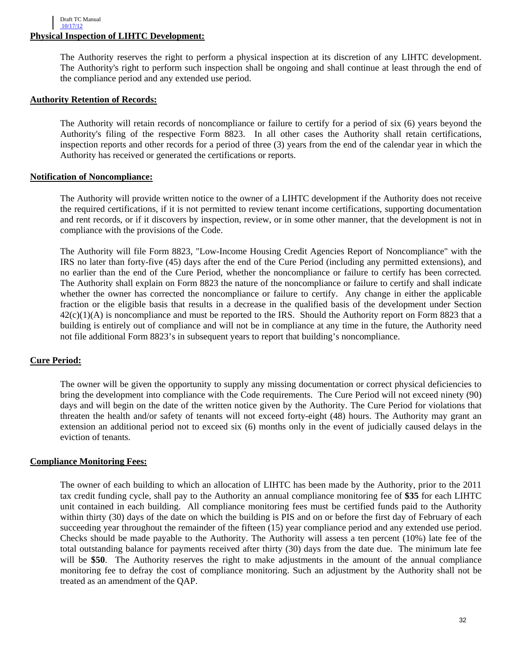The Authority reserves the right to perform a physical inspection at its discretion of any LIHTC development. The Authority's right to perform such inspection shall be ongoing and shall continue at least through the end of the compliance period and any extended use period.

#### **Authority Retention of Records:**

The Authority will retain records of noncompliance or failure to certify for a period of six (6) years beyond the Authority's filing of the respective Form 8823. In all other cases the Authority shall retain certifications, inspection reports and other records for a period of three (3) years from the end of the calendar year in which the Authority has received or generated the certifications or reports.

#### **Notification of Noncompliance:**

The Authority will provide written notice to the owner of a LIHTC development if the Authority does not receive the required certifications, if it is not permitted to review tenant income certifications, supporting documentation and rent records, or if it discovers by inspection, review, or in some other manner, that the development is not in compliance with the provisions of the Code.

The Authority will file Form 8823, "Low-Income Housing Credit Agencies Report of Noncompliance" with the IRS no later than forty-five (45) days after the end of the Cure Period (including any permitted extensions), and no earlier than the end of the Cure Period, whether the noncompliance or failure to certify has been corrected*.*  The Authority shall explain on Form 8823 the nature of the noncompliance or failure to certify and shall indicate whether the owner has corrected the noncompliance or failure to certify. Any change in either the applicable fraction or the eligible basis that results in a decrease in the qualified basis of the development under Section  $42(c)(1)(A)$  is noncompliance and must be reported to the IRS. Should the Authority report on Form 8823 that a building is entirely out of compliance and will not be in compliance at any time in the future, the Authority need not file additional Form 8823's in subsequent years to report that building's noncompliance.

#### **Cure Period:**

The owner will be given the opportunity to supply any missing documentation or correct physical deficiencies to bring the development into compliance with the Code requirements. The Cure Period will not exceed ninety (90) days and will begin on the date of the written notice given by the Authority. The Cure Period for violations that threaten the health and/or safety of tenants will not exceed forty-eight (48) hours. The Authority may grant an extension an additional period not to exceed six (6) months only in the event of judicially caused delays in the eviction of tenants.

#### **Compliance Monitoring Fees:**

The owner of each building to which an allocation of LIHTC has been made by the Authority, prior to the 2011 tax credit funding cycle, shall pay to the Authority an annual compliance monitoring fee of **\$35** for each LIHTC unit contained in each building. All compliance monitoring fees must be certified funds paid to the Authority within thirty (30) days of the date on which the building is PIS and on or before the first day of February of each succeeding year throughout the remainder of the fifteen (15) year compliance period and any extended use period. Checks should be made payable to the Authority. The Authority will assess a ten percent (10%) late fee of the total outstanding balance for payments received after thirty (30) days from the date due. The minimum late fee will be **\$50**. The Authority reserves the right to make adjustments in the amount of the annual compliance monitoring fee to defray the cost of compliance monitoring. Such an adjustment by the Authority shall not be treated as an amendment of the QAP.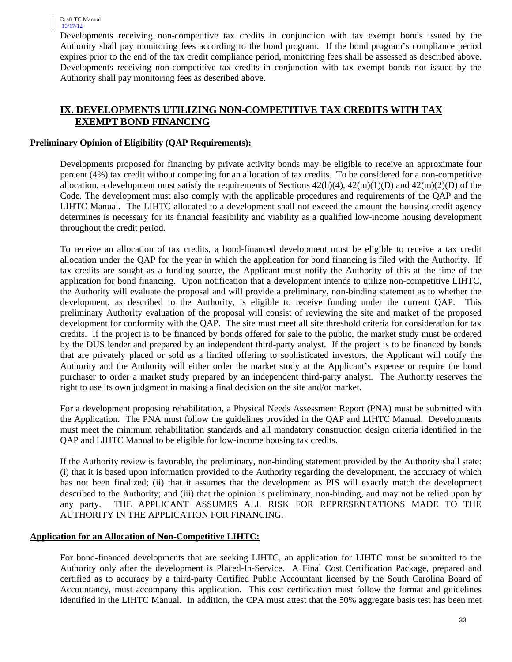Developments receiving non-competitive tax credits in conjunction with tax exempt bonds issued by the Authority shall pay monitoring fees according to the bond program. If the bond program's compliance period expires prior to the end of the tax credit compliance period, monitoring fees shall be assessed as described above. Developments receiving non-competitive tax credits in conjunction with tax exempt bonds not issued by the Authority shall pay monitoring fees as described above.

# **IX. DEVELOPMENTS UTILIZING NON-COMPETITIVE TAX CREDITS WITH TAX EXEMPT BOND FINANCING**

# **Preliminary Opinion of Eligibility (QAP Requirements):**

Developments proposed for financing by private activity bonds may be eligible to receive an approximate four percent (4%) tax credit without competing for an allocation of tax credits. To be considered for a non-competitive allocation, a development must satisfy the requirements of Sections  $42(h)(4)$ ,  $42(m)(1)(D)$  and  $42(m)(2)(D)$  of the Code. The development must also comply with the applicable procedures and requirements of the QAP and the LIHTC Manual. The LIHTC allocated to a development shall not exceed the amount the housing credit agency determines is necessary for its financial feasibility and viability as a qualified low-income housing development throughout the credit period.

To receive an allocation of tax credits, a bond-financed development must be eligible to receive a tax credit allocation under the QAP for the year in which the application for bond financing is filed with the Authority. If tax credits are sought as a funding source, the Applicant must notify the Authority of this at the time of the application for bond financing. Upon notification that a development intends to utilize non-competitive LIHTC, the Authority will evaluate the proposal and will provide a preliminary, non-binding statement as to whether the development, as described to the Authority, is eligible to receive funding under the current QAP. preliminary Authority evaluation of the proposal will consist of reviewing the site and market of the proposed development for conformity with the QAP. The site must meet all site threshold criteria for consideration for tax credits. If the project is to be financed by bonds offered for sale to the public, the market study must be ordered by the DUS lender and prepared by an independent third-party analyst. If the project is to be financed by bonds that are privately placed or sold as a limited offering to sophisticated investors, the Applicant will notify the Authority and the Authority will either order the market study at the Applicant's expense or require the bond purchaser to order a market study prepared by an independent third-party analyst. The Authority reserves the right to use its own judgment in making a final decision on the site and/or market.

For a development proposing rehabilitation, a Physical Needs Assessment Report (PNA) must be submitted with the Application. The PNA must follow the guidelines provided in the QAP and LIHTC Manual. Developments must meet the minimum rehabilitation standards and all mandatory construction design criteria identified in the QAP and LIHTC Manual to be eligible for low-income housing tax credits.

If the Authority review is favorable, the preliminary, non-binding statement provided by the Authority shall state: (i) that it is based upon information provided to the Authority regarding the development, the accuracy of which has not been finalized; (ii) that it assumes that the development as PIS will exactly match the development described to the Authority; and (iii) that the opinion is preliminary, non-binding, and may not be relied upon by any party. THE APPLICANT ASSUMES ALL RISK FOR REPRESENTATIONS MADE TO THE AUTHORITY IN THE APPLICATION FOR FINANCING.

# **Application for an Allocation of Non-Competitive LIHTC:**

For bond-financed developments that are seeking LIHTC, an application for LIHTC must be submitted to the Authority only after the development is Placed-In-Service. A Final Cost Certification Package, prepared and certified as to accuracy by a third-party Certified Public Accountant licensed by the South Carolina Board of Accountancy, must accompany this application. This cost certification must follow the format and guidelines identified in the LIHTC Manual. In addition, the CPA must attest that the 50% aggregate basis test has been met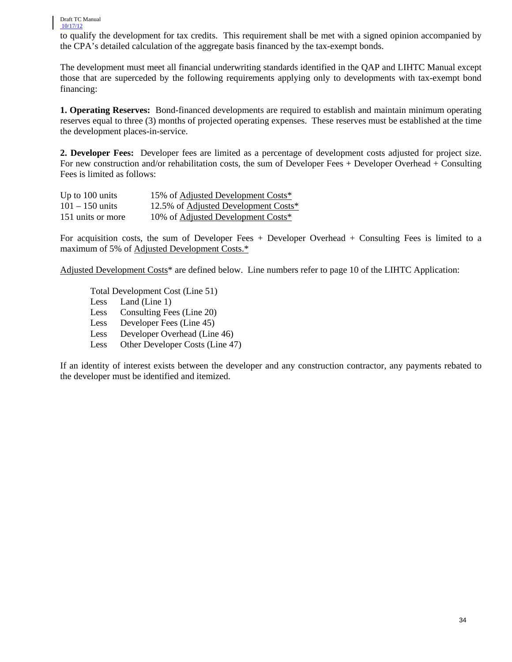to qualify the development for tax credits. This requirement shall be met with a signed opinion accompanied by the CPA's detailed calculation of the aggregate basis financed by the tax-exempt bonds.

The development must meet all financial underwriting standards identified in the QAP and LIHTC Manual except those that are superceded by the following requirements applying only to developments with tax-exempt bond financing:

**1. Operating Reserves:** Bond-financed developments are required to establish and maintain minimum operating reserves equal to three (3) months of projected operating expenses. These reserves must be established at the time the development places-in-service.

**2. Developer Fees:** Developer fees are limited as a percentage of development costs adjusted for project size. For new construction and/or rehabilitation costs, the sum of Developer Fees + Developer Overhead + Consulting Fees is limited as follows:

| Up to 100 units   | 15% of Adjusted Development Costs*   |
|-------------------|--------------------------------------|
| $101 - 150$ units | 12.5% of Adjusted Development Costs* |
| 151 units or more | 10% of Adjusted Development Costs*   |

For acquisition costs, the sum of Developer Fees + Developer Overhead + Consulting Fees is limited to a maximum of 5% of Adjusted Development Costs.\*

Adjusted Development Costs\* are defined below. Line numbers refer to page 10 of the LIHTC Application:

Total Development Cost (Line 51)

- Less Land (Line 1)
- Less Consulting Fees (Line 20)
- Less Developer Fees (Line 45)
- Less Developer Overhead (Line 46)
- Less Other Developer Costs (Line 47)

If an identity of interest exists between the developer and any construction contractor, any payments rebated to the developer must be identified and itemized.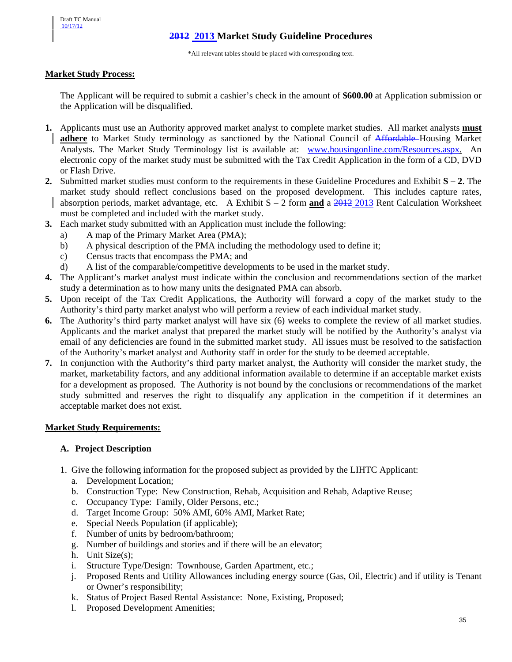# **2012 2013 Market Study Guideline Procedures**

\*All relevant tables should be placed with corresponding text.

#### **Market Study Process:**

The Applicant will be required to submit a cashier's check in the amount of **\$600.00** at Application submission or the Application will be disqualified.

- **1.** Applicants must use an Authority approved market analyst to complete market studies. All market analysts **must adhere** to Market Study terminology as sanctioned by the National Council of Affordable Housing Market Analysts. The Market Study Terminology list is available at: [www.housingonline.com/Resources.aspx.](http://www.housingonline.com/Resources.aspx) An electronic copy of the market study must be submitted with the Tax Credit Application in the form of a CD, DVD or Flash Drive.
- **2.** Submitted market studies must conform to the requirements in these Guideline Procedures and Exhibit **S – 2**. The market study should reflect conclusions based on the proposed development. This includes capture rates, absorption periods, market advantage, etc. A Exhibit S – 2 form **and** a 2012 2013 Rent Calculation Worksheet must be completed and included with the market study.
- **3.** Each market study submitted with an Application must include the following:
	- a) A map of the Primary Market Area (PMA);
	- b) A physical description of the PMA including the methodology used to define it;
	- c) Census tracts that encompass the PMA; and
	- d) A list of the comparable/competitive developments to be used in the market study.
- **4.** The Applicant's market analyst must indicate within the conclusion and recommendations section of the market study a determination as to how many units the designated PMA can absorb.
- **5.** Upon receipt of the Tax Credit Applications, the Authority will forward a copy of the market study to the Authority's third party market analyst who will perform a review of each individual market study.
- **6.** The Authority's third party market analyst will have six (6) weeks to complete the review of all market studies. Applicants and the market analyst that prepared the market study will be notified by the Authority's analyst via email of any deficiencies are found in the submitted market study. All issues must be resolved to the satisfaction of the Authority's market analyst and Authority staff in order for the study to be deemed acceptable.
- **7.** In conjunction with the Authority's third party market analyst, the Authority will consider the market study, the market, marketability factors, and any additional information available to determine if an acceptable market exists for a development as proposed. The Authority is not bound by the conclusions or recommendations of the market study submitted and reserves the right to disqualify any application in the competition if it determines an acceptable market does not exist.

#### **Market Study Requirements:**

#### **A. Project Description**

- 1. Give the following information for the proposed subject as provided by the LIHTC Applicant:
	- a. Development Location;
	- b. Construction Type: New Construction, Rehab, Acquisition and Rehab, Adaptive Reuse;
	- c. Occupancy Type: Family, Older Persons, etc.;
	- d. Target Income Group: 50% AMI, 60% AMI, Market Rate;
	- e. Special Needs Population (if applicable);
	- f. Number of units by bedroom/bathroom;
	- g. Number of buildings and stories and if there will be an elevator;
	- h. Unit Size(s);
	- i. Structure Type/Design: Townhouse, Garden Apartment, etc.;
	- j. Proposed Rents and Utility Allowances including energy source (Gas, Oil, Electric) and if utility is Tenant or Owner's responsibility;
	- k. Status of Project Based Rental Assistance: None, Existing, Proposed;
	- l. Proposed Development Amenities;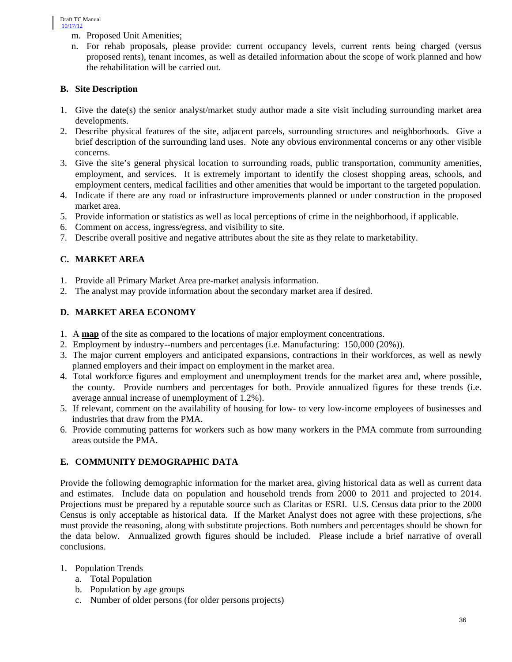- m. Proposed Unit Amenities;
- n. For rehab proposals, please provide: current occupancy levels, current rents being charged (versus proposed rents), tenant incomes, as well as detailed information about the scope of work planned and how the rehabilitation will be carried out.

# **B. Site Description**

- 1. Give the date(s) the senior analyst/market study author made a site visit including surrounding market area developments.
- 2. Describe physical features of the site, adjacent parcels, surrounding structures and neighborhoods. Give a brief description of the surrounding land uses. Note any obvious environmental concerns or any other visible concerns.
- 3. Give the site's general physical location to surrounding roads, public transportation, community amenities, employment, and services. It is extremely important to identify the closest shopping areas, schools, and employment centers, medical facilities and other amenities that would be important to the targeted population.
- 4. Indicate if there are any road or infrastructure improvements planned or under construction in the proposed market area.
- 5. Provide information or statistics as well as local perceptions of crime in the neighborhood, if applicable.
- 6. Comment on access, ingress/egress, and visibility to site.
- 7. Describe overall positive and negative attributes about the site as they relate to marketability.

# **C. MARKET AREA**

- 1. Provide all Primary Market Area pre-market analysis information.
- 2. The analyst may provide information about the secondary market area if desired.

# **D. MARKET AREA ECONOMY**

- 1. A **map** of the site as compared to the locations of major employment concentrations.
- 2. Employment by industry--numbers and percentages (i.e. Manufacturing: 150,000 (20%)).
- 3. The major current employers and anticipated expansions, contractions in their workforces, as well as newly planned employers and their impact on employment in the market area.
- 4. Total workforce figures and employment and unemployment trends for the market area and, where possible, the county. Provide numbers and percentages for both. Provide annualized figures for these trends (i.e. average annual increase of unemployment of 1.2%).
- 5. If relevant, comment on the availability of housing for low- to very low-income employees of businesses and industries that draw from the PMA.
- 6. Provide commuting patterns for workers such as how many workers in the PMA commute from surrounding areas outside the PMA.

# **E. COMMUNITY DEMOGRAPHIC DATA**

Provide the following demographic information for the market area, giving historical data as well as current data and estimates. Include data on population and household trends from 2000 to 2011 and projected to 2014. Projections must be prepared by a reputable source such as Claritas or ESRI. U.S. Census data prior to the 2000 Census is only acceptable as historical data. If the Market Analyst does not agree with these projections, s/he must provide the reasoning, along with substitute projections. Both numbers and percentages should be shown for the data below. Annualized growth figures should be included. Please include a brief narrative of overall conclusions.

# 1. Population Trends

- a. Total Population
- b. Population by age groups
- c. Number of older persons (for older persons projects)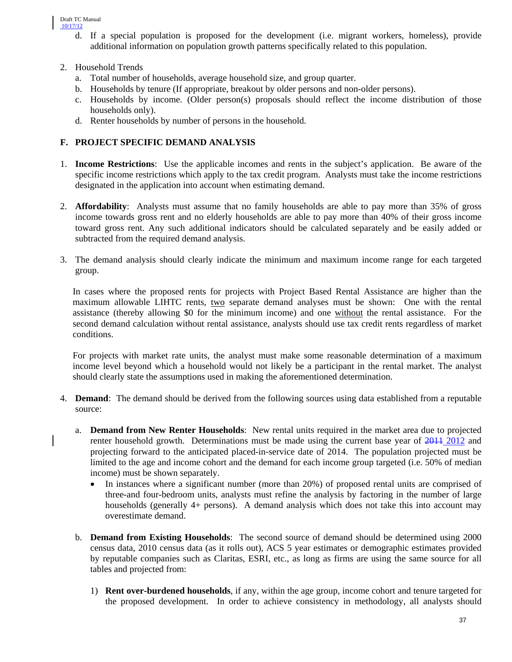- d. If a special population is proposed for the development (i.e. migrant workers, homeless), provide additional information on population growth patterns specifically related to this population.
- 2. Household Trends
	- a. Total number of households, average household size, and group quarter.
	- b. Households by tenure (If appropriate, breakout by older persons and non-older persons).
	- c. Households by income. (Older person(s) proposals should reflect the income distribution of those households only).
	- d. Renter households by number of persons in the household.

# **F. PROJECT SPECIFIC DEMAND ANALYSIS**

- 1. **Income Restrictions**: Use the applicable incomes and rents in the subject's application. Be aware of the specific income restrictions which apply to the tax credit program. Analysts must take the income restrictions designated in the application into account when estimating demand.
- 2. **Affordability**: Analysts must assume that no family households are able to pay more than 35% of gross income towards gross rent and no elderly households are able to pay more than 40% of their gross income toward gross rent. Any such additional indicators should be calculated separately and be easily added or subtracted from the required demand analysis.
- 3. The demand analysis should clearly indicate the minimum and maximum income range for each targeted group.

In cases where the proposed rents for projects with Project Based Rental Assistance are higher than the maximum allowable LIHTC rents, two separate demand analyses must be shown: One with the rental assistance (thereby allowing \$0 for the minimum income) and one without the rental assistance. For the second demand calculation without rental assistance, analysts should use tax credit rents regardless of market conditions.

For projects with market rate units, the analyst must make some reasonable determination of a maximum income level beyond which a household would not likely be a participant in the rental market. The analyst should clearly state the assumptions used in making the aforementioned determination.

- 4. **Demand**: The demand should be derived from the following sources using data established from a reputable source:
	- a. **Demand from New Renter Households**: New rental units required in the market area due to projected renter household growth. Determinations must be made using the current base year of  $2011$  2012 and projecting forward to the anticipated placed-in-service date of 2014. The population projected must be limited to the age and income cohort and the demand for each income group targeted (i.e. 50% of median income) must be shown separately.
		- In instances where a significant number (more than 20%) of proposed rental units are comprised of three-and four-bedroom units, analysts must refine the analysis by factoring in the number of large households (generally 4+ persons). A demand analysis which does not take this into account may overestimate demand.
	- b. **Demand from Existing Households**: The second source of demand should be determined using 2000 census data, 2010 census data (as it rolls out), ACS 5 year estimates or demographic estimates provided by reputable companies such as Claritas, ESRI, etc., as long as firms are using the same source for all tables and projected from:
		- 1) **Rent over-burdened households**, if any, within the age group, income cohort and tenure targeted for the proposed development. In order to achieve consistency in methodology, all analysts should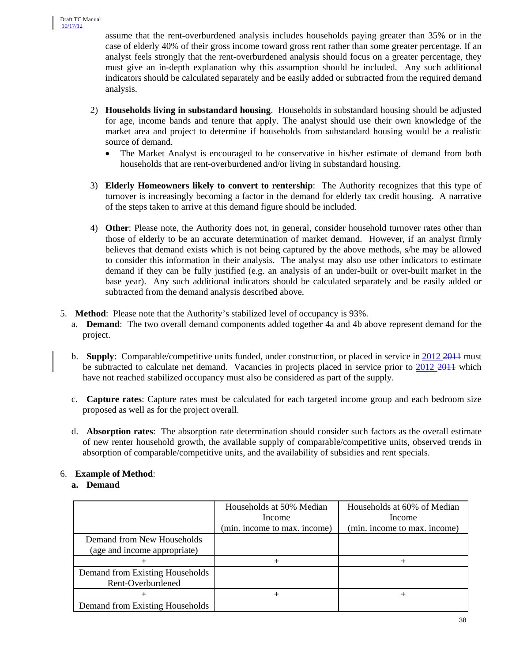assume that the rent-overburdened analysis includes households paying greater than 35% or in the case of elderly 40% of their gross income toward gross rent rather than some greater percentage. If an analyst feels strongly that the rent-overburdened analysis should focus on a greater percentage, they must give an in-depth explanation why this assumption should be included. Any such additional indicators should be calculated separately and be easily added or subtracted from the required demand analysis.

- 2) **Households living in substandard housing**. Households in substandard housing should be adjusted for age, income bands and tenure that apply. The analyst should use their own knowledge of the market area and project to determine if households from substandard housing would be a realistic source of demand.
	- The Market Analyst is encouraged to be conservative in his/her estimate of demand from both households that are rent-overburdened and/or living in substandard housing.
- 3) **Elderly Homeowners likely to convert to rentership**: The Authority recognizes that this type of turnover is increasingly becoming a factor in the demand for elderly tax credit housing. A narrative of the steps taken to arrive at this demand figure should be included.
- 4) **Other**: Please note, the Authority does not, in general, consider household turnover rates other than those of elderly to be an accurate determination of market demand. However, if an analyst firmly believes that demand exists which is not being captured by the above methods, s/he may be allowed to consider this information in their analysis. The analyst may also use other indicators to estimate demand if they can be fully justified (e.g. an analysis of an under-built or over-built market in the base year). Any such additional indicators should be calculated separately and be easily added or subtracted from the demand analysis described above.
- 5. **Method**: Please note that the Authority's stabilized level of occupancy is 93%.
	- a. **Demand**: The two overall demand components added together 4a and 4b above represent demand for the project.
	- b. **Supply**: Comparable/competitive units funded, under construction, or placed in service in 2012 2011 must be subtracted to calculate net demand. Vacancies in projects placed in service prior to 2012 2011 which have not reached stabilized occupancy must also be considered as part of the supply.
	- c. **Capture rates**: Capture rates must be calculated for each targeted income group and each bedroom size proposed as well as for the project overall.
	- d. **Absorption rates**: The absorption rate determination should consider such factors as the overall estimate of new renter household growth, the available supply of comparable/competitive units, observed trends in absorption of comparable/competitive units, and the availability of subsidies and rent specials.

# 6. **Example of Method**:

# **a. Demand**

|                                 | Households at 50% Median     | Households at 60% of Median  |
|---------------------------------|------------------------------|------------------------------|
|                                 | Income                       | Income                       |
|                                 | (min. income to max. income) | (min. income to max. income) |
| Demand from New Households      |                              |                              |
| (age and income appropriate)    |                              |                              |
|                                 |                              |                              |
| Demand from Existing Households |                              |                              |
| Rent-Overburdened               |                              |                              |
|                                 |                              |                              |
| Demand from Existing Households |                              |                              |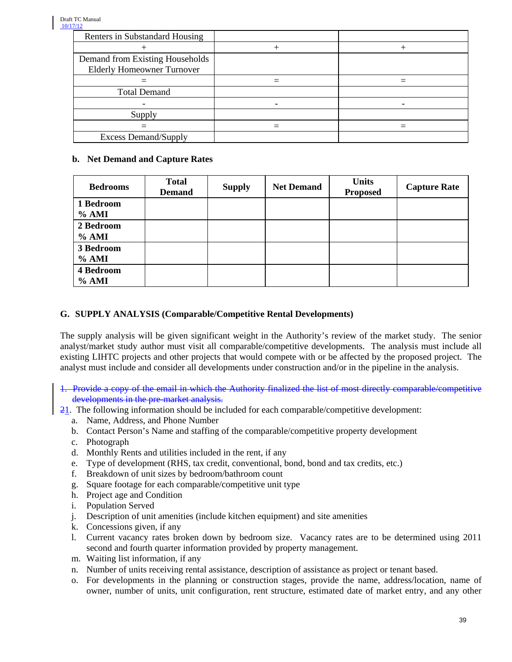| Renters in Substandard Housing    |  |
|-----------------------------------|--|
|                                   |  |
| Demand from Existing Households   |  |
| <b>Elderly Homeowner Turnover</b> |  |
|                                   |  |
| <b>Total Demand</b>               |  |
|                                   |  |
| Supply                            |  |
|                                   |  |
| <b>Excess Demand/Supply</b>       |  |

# **b. Net Demand and Capture Rates**

| <b>Bedrooms</b>      | <b>Total</b><br><b>Demand</b> | <b>Supply</b> | <b>Net Demand</b> | <b>Units</b><br><b>Proposed</b> | <b>Capture Rate</b> |
|----------------------|-------------------------------|---------------|-------------------|---------------------------------|---------------------|
| 1 Bedroom<br>% AMI   |                               |               |                   |                                 |                     |
| 2 Bedroom<br>% AMI   |                               |               |                   |                                 |                     |
| 3 Bedroom<br>$%$ AMI |                               |               |                   |                                 |                     |
| 4 Bedroom<br>% AMI   |                               |               |                   |                                 |                     |

# **G. SUPPLY ANALYSIS (Comparable/Competitive Rental Developments)**

The supply analysis will be given significant weight in the Authority's review of the market study. The senior analyst/market study author must visit all comparable/competitive developments. The analysis must include all existing LIHTC projects and other projects that would compete with or be affected by the proposed project. The analyst must include and consider all developments under construction and/or in the pipeline in the analysis.

- 1. Provide a copy of the email in which the Authority finalized the list of most directly comparable/competitive developments in the pre-market analysis.
- 21. The following information should be included for each comparable/competitive development:
	- a. Name, Address, and Phone Number
	- b. Contact Person's Name and staffing of the comparable/competitive property development
	- c. Photograph
	- d. Monthly Rents and utilities included in the rent, if any
	- e. Type of development (RHS, tax credit, conventional, bond, bond and tax credits, etc.)
	- f. Breakdown of unit sizes by bedroom/bathroom count
	- g. Square footage for each comparable/competitive unit type
	- h. Project age and Condition
	- i. Population Served
	- j. Description of unit amenities (include kitchen equipment) and site amenities
	- k. Concessions given, if any
	- l. Current vacancy rates broken down by bedroom size. Vacancy rates are to be determined using 2011 second and fourth quarter information provided by property management.
	- m. Waiting list information, if any
	- n. Number of units receiving rental assistance, description of assistance as project or tenant based.
	- o. For developments in the planning or construction stages, provide the name, address/location, name of owner, number of units, unit configuration, rent structure, estimated date of market entry, and any other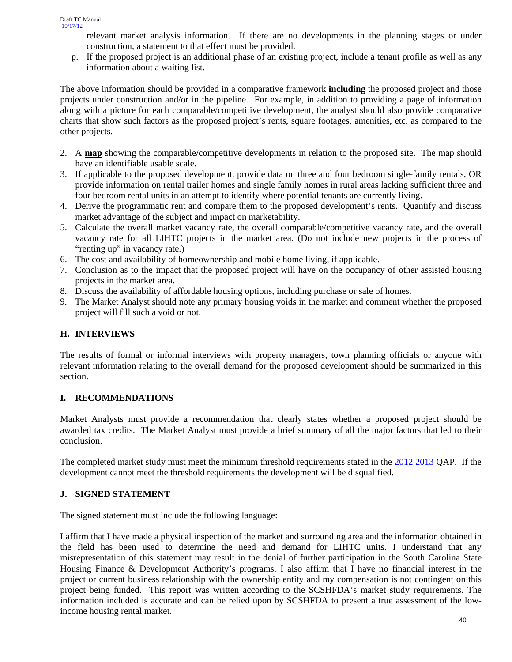relevant market analysis information. If there are no developments in the planning stages or under construction, a statement to that effect must be provided.

p. If the proposed project is an additional phase of an existing project, include a tenant profile as well as any information about a waiting list.

The above information should be provided in a comparative framework **including** the proposed project and those projects under construction and/or in the pipeline. For example, in addition to providing a page of information along with a picture for each comparable/competitive development, the analyst should also provide comparative charts that show such factors as the proposed project's rents, square footages, amenities, etc. as compared to the other projects.

- 2. A **map** showing the comparable/competitive developments in relation to the proposed site. The map should have an identifiable usable scale.
- 3. If applicable to the proposed development, provide data on three and four bedroom single-family rentals, OR provide information on rental trailer homes and single family homes in rural areas lacking sufficient three and four bedroom rental units in an attempt to identify where potential tenants are currently living.
- 4. Derive the programmatic rent and compare them to the proposed development's rents. Quantify and discuss market advantage of the subject and impact on marketability.
- 5. Calculate the overall market vacancy rate, the overall comparable/competitive vacancy rate, and the overall vacancy rate for all LIHTC projects in the market area. (Do not include new projects in the process of "renting up" in vacancy rate.)
- 6. The cost and availability of homeownership and mobile home living, if applicable.
- 7. Conclusion as to the impact that the proposed project will have on the occupancy of other assisted housing projects in the market area.
- 8. Discuss the availability of affordable housing options, including purchase or sale of homes.
- 9. The Market Analyst should note any primary housing voids in the market and comment whether the proposed project will fill such a void or not.

# **H. INTERVIEWS**

The results of formal or informal interviews with property managers, town planning officials or anyone with relevant information relating to the overall demand for the proposed development should be summarized in this section.

# **I. RECOMMENDATIONS**

Market Analysts must provide a recommendation that clearly states whether a proposed project should be awarded tax credits. The Market Analyst must provide a brief summary of all the major factors that led to their conclusion.

The completed market study must meet the minimum threshold requirements stated in the 2012 2013 QAP. If the development cannot meet the threshold requirements the development will be disqualified.

# **J. SIGNED STATEMENT**

The signed statement must include the following language:

I affirm that I have made a physical inspection of the market and surrounding area and the information obtained in the field has been used to determine the need and demand for LIHTC units. I understand that any misrepresentation of this statement may result in the denial of further participation in the South Carolina State Housing Finance & Development Authority's programs. I also affirm that I have no financial interest in the project or current business relationship with the ownership entity and my compensation is not contingent on this project being funded. This report was written according to the SCSHFDA's market study requirements. The information included is accurate and can be relied upon by SCSHFDA to present a true assessment of the lowincome housing rental market.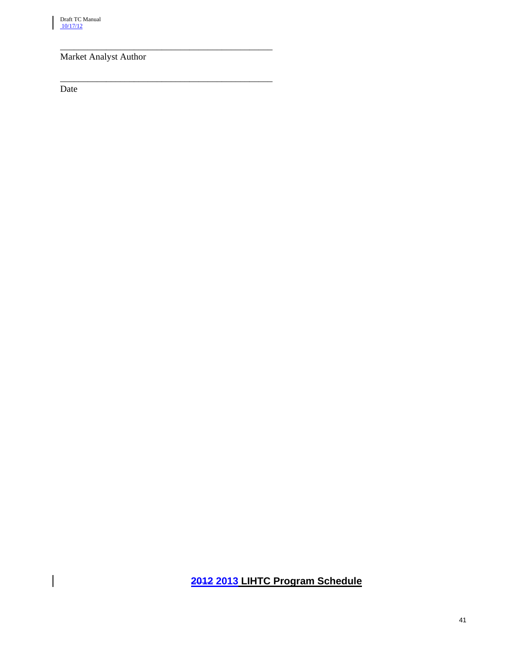# Market Analyst Author

\_\_\_\_\_\_\_\_\_\_\_\_\_\_\_\_\_\_\_\_\_\_\_\_\_\_\_\_\_\_\_\_\_\_\_\_\_\_\_\_\_\_\_\_\_\_

\_\_\_\_\_\_\_\_\_\_\_\_\_\_\_\_\_\_\_\_\_\_\_\_\_\_\_\_\_\_\_\_\_\_\_\_\_\_\_\_\_\_\_\_\_\_

Date

 $\overline{\phantom{a}}$ 

# **2012 2013 LIHTC Program Schedule**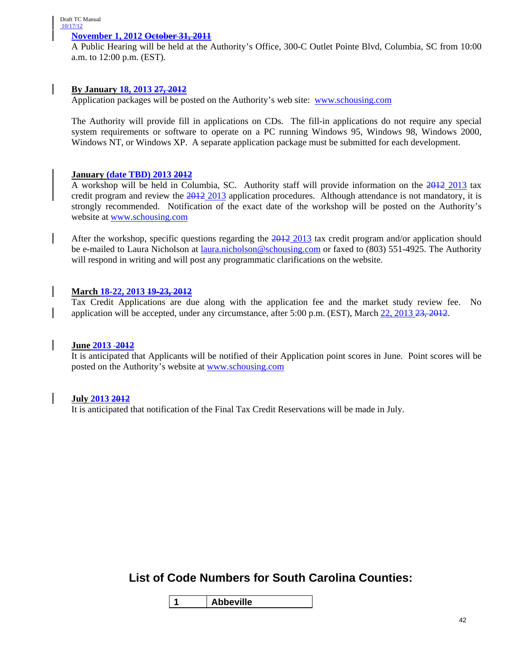#### **November 1, 2012 October 31, 2011**

A Public Hearing will be held at the Authority's Office, 300-C Outlet Pointe Blvd, Columbia, SC from 10:00 a.m. to 12:00 p.m. (EST).

# **By January 18, 2013 27, 2012**

Application packages will be posted on the Authority's web site: [www.schousing.com](http://www.schousing.com/)

The Authority will provide fill in applications on CDs. The fill-in applications do not require any special system requirements or software to operate on a PC running Windows 95, Windows 98, Windows 2000, Windows NT, or Windows XP. A separate application package must be submitted for each development.

#### **January (date TBD) 2013 2012**

A workshop will be held in Columbia, SC. Authority staff will provide information on the 2012 2013 tax credit program and review the 2012 2013 application procedures. Although attendance is not mandatory, it is strongly recommended. Notification of the exact date of the workshop will be posted on the Authority's website at [www.schousing.com](http://www.schousing.com/)

After the workshop, specific questions regarding the 2012 2013 tax credit program and/or application should be e-mailed to Laura Nicholson at *laura.nicholson@schousing.com* or faxed to (803) 551-4925. The Authority will respond in writing and will post any programmatic clarifications on the website.

### **March 18-22, 2013 19-23, 2012**

Tax Credit Applications are due along with the application fee and the market study review fee. No application will be accepted, under any circumstance, after 5:00 p.m. (EST), March 22, 2013 23, 2012.

#### **June 2013 2012**

It is anticipated that Applicants will be notified of their Application point scores in June. Point scores will be posted on the Authority's website at [www.schousing.com](http://www.schousing.com/)

#### **July 2013 2012**

It is anticipated that notification of the Final Tax Credit Reservations will be made in July.

**List of Code Numbers for South Carolina Counties:**

**1 Abbeville**